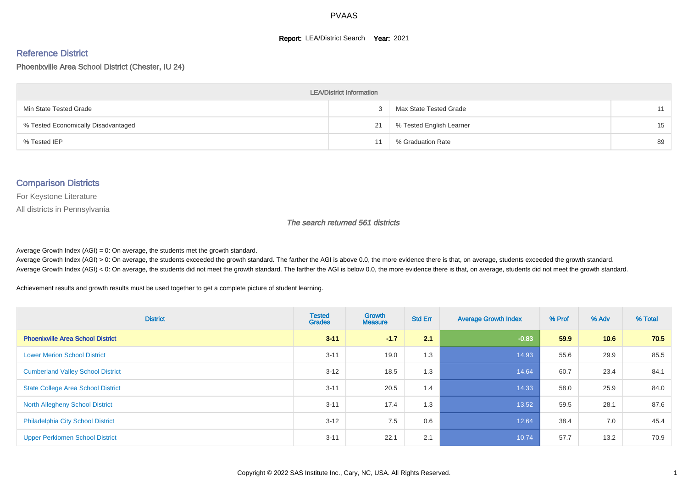#### **Report: LEA/District Search Year: 2021**

#### Reference District

Phoenixville Area School District (Chester, IU 24)

| <b>LEA/District Information</b>     |    |                          |    |  |  |  |  |  |  |  |
|-------------------------------------|----|--------------------------|----|--|--|--|--|--|--|--|
| Min State Tested Grade              |    | Max State Tested Grade   | 11 |  |  |  |  |  |  |  |
| % Tested Economically Disadvantaged | 21 | % Tested English Learner | 15 |  |  |  |  |  |  |  |
| % Tested IEP                        |    | % Graduation Rate        | 89 |  |  |  |  |  |  |  |

#### Comparison Districts

For Keystone Literature

All districts in Pennsylvania

The search returned 561 districts

Average Growth Index  $(AGI) = 0$ : On average, the students met the growth standard.

Average Growth Index (AGI) > 0: On average, the students exceeded the growth standard. The farther the AGI is above 0.0, the more evidence there is that, on average, students exceeded the growth standard. Average Growth Index (AGI) < 0: On average, the students did not meet the growth standard. The farther the AGI is below 0.0, the more evidence there is that, on average, students did not meet the growth standard.

Achievement results and growth results must be used together to get a complete picture of student learning.

| <b>District</b>                           | <b>Tested</b><br><b>Grades</b> | <b>Growth</b><br><b>Measure</b> | <b>Std Err</b> | <b>Average Growth Index</b> | % Prof | % Adv | % Total |
|-------------------------------------------|--------------------------------|---------------------------------|----------------|-----------------------------|--------|-------|---------|
| <b>Phoenixville Area School District</b>  | $3 - 11$                       | $-1.7$                          | 2.1            | $-0.83$                     | 59.9   | 10.6  | 70.5    |
| <b>Lower Merion School District</b>       | $3 - 11$                       | 19.0                            | 1.3            | 14.93                       | 55.6   | 29.9  | 85.5    |
| <b>Cumberland Valley School District</b>  | $3 - 12$                       | 18.5                            | 1.3            | 14.64                       | 60.7   | 23.4  | 84.1    |
| <b>State College Area School District</b> | $3 - 11$                       | 20.5                            | 1.4            | 14.33                       | 58.0   | 25.9  | 84.0    |
| <b>North Allegheny School District</b>    | $3 - 11$                       | 17.4                            | 1.3            | 13.52                       | 59.5   | 28.1  | 87.6    |
| <b>Philadelphia City School District</b>  | $3 - 12$                       | 7.5                             | 0.6            | 12.64                       | 38.4   | 7.0   | 45.4    |
| <b>Upper Perkiomen School District</b>    | $3 - 11$                       | 22.1                            | 2.1            | 10.74                       | 57.7   | 13.2  | 70.9    |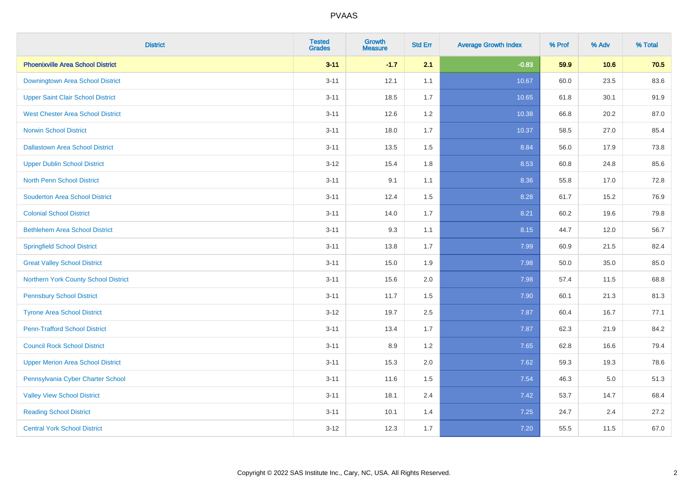| <b>District</b>                          | <b>Tested</b><br><b>Grades</b> | <b>Growth</b><br><b>Measure</b> | <b>Std Err</b> | <b>Average Growth Index</b> | % Prof | % Adv   | % Total |
|------------------------------------------|--------------------------------|---------------------------------|----------------|-----------------------------|--------|---------|---------|
| <b>Phoenixville Area School District</b> | $3 - 11$                       | $-1.7$                          | 2.1            | $-0.83$                     | 59.9   | 10.6    | 70.5    |
| Downingtown Area School District         | $3 - 11$                       | 12.1                            | 1.1            | 10.67                       | 60.0   | 23.5    | 83.6    |
| <b>Upper Saint Clair School District</b> | $3 - 11$                       | 18.5                            | 1.7            | 10.65                       | 61.8   | 30.1    | 91.9    |
| <b>West Chester Area School District</b> | $3 - 11$                       | 12.6                            | 1.2            | 10.38                       | 66.8   | 20.2    | 87.0    |
| <b>Norwin School District</b>            | $3 - 11$                       | 18.0                            | 1.7            | 10.37                       | 58.5   | 27.0    | 85.4    |
| <b>Dallastown Area School District</b>   | $3 - 11$                       | 13.5                            | 1.5            | 8.84                        | 56.0   | 17.9    | 73.8    |
| <b>Upper Dublin School District</b>      | $3-12$                         | 15.4                            | 1.8            | 8.53                        | 60.8   | 24.8    | 85.6    |
| <b>North Penn School District</b>        | $3 - 11$                       | 9.1                             | 1.1            | 8.36                        | 55.8   | 17.0    | 72.8    |
| <b>Souderton Area School District</b>    | $3 - 11$                       | 12.4                            | 1.5            | 8.28                        | 61.7   | 15.2    | 76.9    |
| <b>Colonial School District</b>          | $3 - 11$                       | 14.0                            | 1.7            | 8.21                        | 60.2   | 19.6    | 79.8    |
| <b>Bethlehem Area School District</b>    | $3 - 11$                       | 9.3                             | 1.1            | 8.15                        | 44.7   | 12.0    | 56.7    |
| <b>Springfield School District</b>       | $3 - 11$                       | 13.8                            | 1.7            | 7.99                        | 60.9   | 21.5    | 82.4    |
| <b>Great Valley School District</b>      | $3 - 11$                       | 15.0                            | 1.9            | 7.98                        | 50.0   | 35.0    | 85.0    |
| Northern York County School District     | $3 - 11$                       | 15.6                            | 2.0            | 7.98                        | 57.4   | 11.5    | 68.8    |
| <b>Pennsbury School District</b>         | $3 - 11$                       | 11.7                            | 1.5            | 7.90                        | 60.1   | 21.3    | 81.3    |
| <b>Tyrone Area School District</b>       | $3 - 12$                       | 19.7                            | 2.5            | 7.87                        | 60.4   | 16.7    | 77.1    |
| <b>Penn-Trafford School District</b>     | $3 - 11$                       | 13.4                            | 1.7            | 7.87                        | 62.3   | 21.9    | 84.2    |
| <b>Council Rock School District</b>      | $3 - 11$                       | 8.9                             | 1.2            | 7.65                        | 62.8   | 16.6    | 79.4    |
| <b>Upper Merion Area School District</b> | $3 - 11$                       | 15.3                            | 2.0            | 7.62                        | 59.3   | 19.3    | 78.6    |
| Pennsylvania Cyber Charter School        | $3 - 11$                       | 11.6                            | 1.5            | 7.54                        | 46.3   | $5.0\,$ | 51.3    |
| <b>Valley View School District</b>       | $3 - 11$                       | 18.1                            | 2.4            | 7.42                        | 53.7   | 14.7    | 68.4    |
| <b>Reading School District</b>           | $3 - 11$                       | 10.1                            | 1.4            | 7.25                        | 24.7   | 2.4     | 27.2    |
| <b>Central York School District</b>      | $3 - 12$                       | 12.3                            | 1.7            | 7.20                        | 55.5   | 11.5    | 67.0    |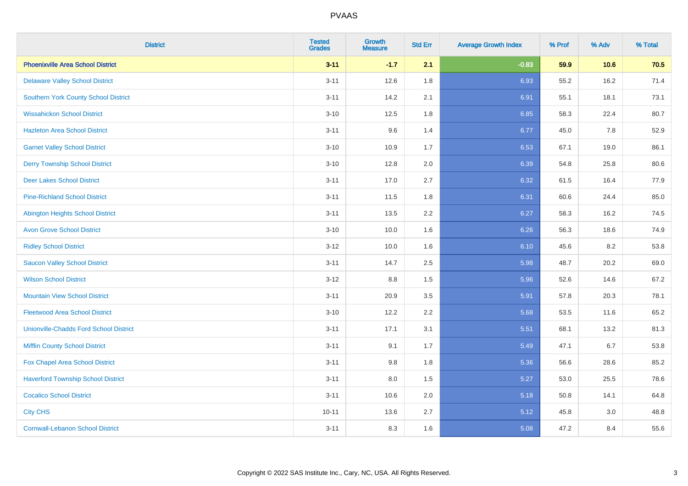| <b>District</b>                               | <b>Tested</b><br><b>Grades</b> | <b>Growth</b><br><b>Measure</b> | <b>Std Err</b> | <b>Average Growth Index</b> | % Prof | % Adv | % Total |
|-----------------------------------------------|--------------------------------|---------------------------------|----------------|-----------------------------|--------|-------|---------|
| <b>Phoenixville Area School District</b>      | $3 - 11$                       | $-1.7$                          | 2.1            | $-0.83$                     | 59.9   | 10.6  | 70.5    |
| <b>Delaware Valley School District</b>        | $3 - 11$                       | 12.6                            | 1.8            | 6.93                        | 55.2   | 16.2  | 71.4    |
| <b>Southern York County School District</b>   | $3 - 11$                       | 14.2                            | 2.1            | 6.91                        | 55.1   | 18.1  | 73.1    |
| <b>Wissahickon School District</b>            | $3 - 10$                       | 12.5                            | 1.8            | 6.85                        | 58.3   | 22.4  | 80.7    |
| <b>Hazleton Area School District</b>          | $3 - 11$                       | 9.6                             | 1.4            | 6.77                        | 45.0   | 7.8   | 52.9    |
| <b>Garnet Valley School District</b>          | $3 - 10$                       | 10.9                            | 1.7            | 6.53                        | 67.1   | 19.0  | 86.1    |
| <b>Derry Township School District</b>         | $3 - 10$                       | 12.8                            | 2.0            | 6.39                        | 54.8   | 25.8  | 80.6    |
| <b>Deer Lakes School District</b>             | $3 - 11$                       | 17.0                            | 2.7            | 6.32                        | 61.5   | 16.4  | 77.9    |
| <b>Pine-Richland School District</b>          | $3 - 11$                       | 11.5                            | 1.8            | 6.31                        | 60.6   | 24.4  | 85.0    |
| <b>Abington Heights School District</b>       | $3 - 11$                       | 13.5                            | 2.2            | 6.27                        | 58.3   | 16.2  | 74.5    |
| <b>Avon Grove School District</b>             | $3 - 10$                       | 10.0                            | 1.6            | 6.26                        | 56.3   | 18.6  | 74.9    |
| <b>Ridley School District</b>                 | $3 - 12$                       | 10.0                            | 1.6            | 6.10                        | 45.6   | 8.2   | 53.8    |
| <b>Saucon Valley School District</b>          | $3 - 11$                       | 14.7                            | 2.5            | 5.98                        | 48.7   | 20.2  | 69.0    |
| <b>Wilson School District</b>                 | $3 - 12$                       | $8.8\,$                         | 1.5            | 5.96                        | 52.6   | 14.6  | 67.2    |
| <b>Mountain View School District</b>          | $3 - 11$                       | 20.9                            | 3.5            | 5.91                        | 57.8   | 20.3  | 78.1    |
| <b>Fleetwood Area School District</b>         | $3 - 10$                       | 12.2                            | 2.2            | 5.68                        | 53.5   | 11.6  | 65.2    |
| <b>Unionville-Chadds Ford School District</b> | $3 - 11$                       | 17.1                            | 3.1            | 5.51                        | 68.1   | 13.2  | 81.3    |
| <b>Mifflin County School District</b>         | $3 - 11$                       | 9.1                             | 1.7            | 5.49                        | 47.1   | 6.7   | 53.8    |
| Fox Chapel Area School District               | $3 - 11$                       | 9.8                             | 1.8            | 5.36                        | 56.6   | 28.6  | 85.2    |
| <b>Haverford Township School District</b>     | $3 - 11$                       | 8.0                             | 1.5            | 5.27                        | 53.0   | 25.5  | 78.6    |
| <b>Cocalico School District</b>               | $3 - 11$                       | 10.6                            | 2.0            | 5.18                        | 50.8   | 14.1  | 64.8    |
| <b>City CHS</b>                               | $10 - 11$                      | 13.6                            | 2.7            | 5.12                        | 45.8   | 3.0   | 48.8    |
| <b>Cornwall-Lebanon School District</b>       | $3 - 11$                       | 8.3                             | 1.6            | 5.08                        | 47.2   | 8.4   | 55.6    |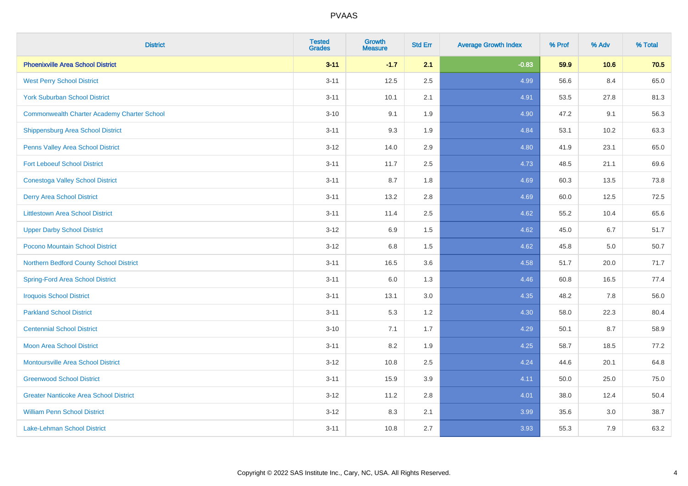| <b>District</b>                                    | <b>Tested</b><br><b>Grades</b> | <b>Growth</b><br><b>Measure</b> | <b>Std Err</b> | <b>Average Growth Index</b> | % Prof | % Adv | % Total |
|----------------------------------------------------|--------------------------------|---------------------------------|----------------|-----------------------------|--------|-------|---------|
| <b>Phoenixville Area School District</b>           | $3 - 11$                       | $-1.7$                          | 2.1            | $-0.83$                     | 59.9   | 10.6  | 70.5    |
| <b>West Perry School District</b>                  | $3 - 11$                       | 12.5                            | 2.5            | 4.99                        | 56.6   | 8.4   | 65.0    |
| <b>York Suburban School District</b>               | $3 - 11$                       | 10.1                            | 2.1            | 4.91                        | 53.5   | 27.8  | 81.3    |
| <b>Commonwealth Charter Academy Charter School</b> | $3 - 10$                       | 9.1                             | 1.9            | 4.90                        | 47.2   | 9.1   | 56.3    |
| Shippensburg Area School District                  | $3 - 11$                       | 9.3                             | 1.9            | 4.84                        | 53.1   | 10.2  | 63.3    |
| Penns Valley Area School District                  | $3 - 12$                       | 14.0                            | 2.9            | 4.80                        | 41.9   | 23.1  | 65.0    |
| <b>Fort Leboeuf School District</b>                | $3 - 11$                       | 11.7                            | 2.5            | 4.73                        | 48.5   | 21.1  | 69.6    |
| <b>Conestoga Valley School District</b>            | $3 - 11$                       | 8.7                             | 1.8            | 4.69                        | 60.3   | 13.5  | 73.8    |
| <b>Derry Area School District</b>                  | $3 - 11$                       | 13.2                            | 2.8            | 4.69                        | 60.0   | 12.5  | 72.5    |
| <b>Littlestown Area School District</b>            | $3 - 11$                       | 11.4                            | $2.5\,$        | 4.62                        | 55.2   | 10.4  | 65.6    |
| <b>Upper Darby School District</b>                 | $3 - 12$                       | 6.9                             | 1.5            | 4.62                        | 45.0   | 6.7   | 51.7    |
| Pocono Mountain School District                    | $3 - 12$                       | 6.8                             | 1.5            | 4.62                        | 45.8   | 5.0   | 50.7    |
| Northern Bedford County School District            | $3 - 11$                       | 16.5                            | 3.6            | 4.58                        | 51.7   | 20.0  | 71.7    |
| <b>Spring-Ford Area School District</b>            | $3 - 11$                       | 6.0                             | 1.3            | 4.46                        | 60.8   | 16.5  | 77.4    |
| <b>Iroquois School District</b>                    | $3 - 11$                       | 13.1                            | 3.0            | 4.35                        | 48.2   | 7.8   | 56.0    |
| <b>Parkland School District</b>                    | $3 - 11$                       | 5.3                             | 1.2            | 4.30                        | 58.0   | 22.3  | 80.4    |
| <b>Centennial School District</b>                  | $3 - 10$                       | 7.1                             | 1.7            | 4.29                        | 50.1   | 8.7   | 58.9    |
| <b>Moon Area School District</b>                   | $3 - 11$                       | 8.2                             | 1.9            | 4.25                        | 58.7   | 18.5  | 77.2    |
| <b>Montoursville Area School District</b>          | $3 - 12$                       | 10.8                            | 2.5            | 4.24                        | 44.6   | 20.1  | 64.8    |
| <b>Greenwood School District</b>                   | $3 - 11$                       | 15.9                            | 3.9            | 4.11                        | 50.0   | 25.0  | 75.0    |
| <b>Greater Nanticoke Area School District</b>      | $3 - 12$                       | 11.2                            | 2.8            | 4.01                        | 38.0   | 12.4  | 50.4    |
| <b>William Penn School District</b>                | $3 - 12$                       | 8.3                             | 2.1            | 3.99                        | 35.6   | 3.0   | 38.7    |
| <b>Lake-Lehman School District</b>                 | $3 - 11$                       | 10.8                            | 2.7            | 3.93                        | 55.3   | 7.9   | 63.2    |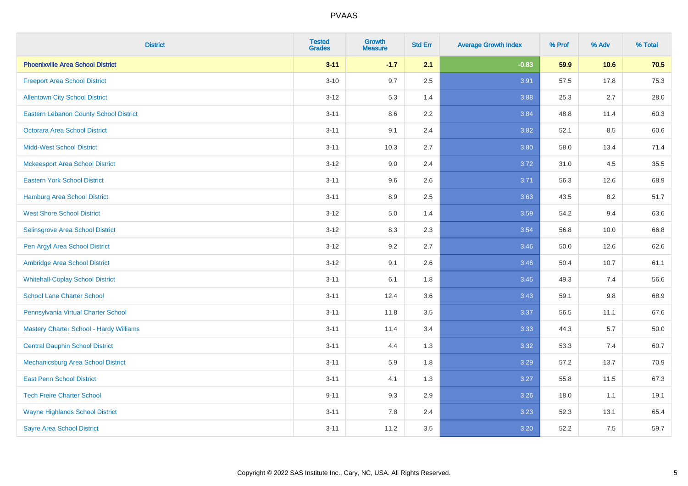| <b>District</b>                               | <b>Tested</b><br><b>Grades</b> | <b>Growth</b><br><b>Measure</b> | <b>Std Err</b> | <b>Average Growth Index</b> | % Prof | % Adv | % Total |
|-----------------------------------------------|--------------------------------|---------------------------------|----------------|-----------------------------|--------|-------|---------|
| <b>Phoenixville Area School District</b>      | $3 - 11$                       | $-1.7$                          | 2.1            | $-0.83$                     | 59.9   | 10.6  | 70.5    |
| <b>Freeport Area School District</b>          | $3 - 10$                       | 9.7                             | 2.5            | 3.91                        | 57.5   | 17.8  | 75.3    |
| <b>Allentown City School District</b>         | $3 - 12$                       | 5.3                             | 1.4            | 3.88                        | 25.3   | 2.7   | 28.0    |
| <b>Eastern Lebanon County School District</b> | $3 - 11$                       | 8.6                             | 2.2            | 3.84                        | 48.8   | 11.4  | 60.3    |
| <b>Octorara Area School District</b>          | $3 - 11$                       | 9.1                             | 2.4            | 3.82                        | 52.1   | 8.5   | 60.6    |
| <b>Midd-West School District</b>              | $3 - 11$                       | 10.3                            | 2.7            | 3.80                        | 58.0   | 13.4  | 71.4    |
| <b>Mckeesport Area School District</b>        | $3 - 12$                       | 9.0                             | 2.4            | 3.72                        | 31.0   | 4.5   | 35.5    |
| <b>Eastern York School District</b>           | $3 - 11$                       | 9.6                             | 2.6            | 3.71                        | 56.3   | 12.6  | 68.9    |
| <b>Hamburg Area School District</b>           | $3 - 11$                       | 8.9                             | 2.5            | 3.63                        | 43.5   | 8.2   | 51.7    |
| <b>West Shore School District</b>             | $3-12$                         | 5.0                             | 1.4            | 3.59                        | 54.2   | 9.4   | 63.6    |
| Selinsgrove Area School District              | $3-12$                         | 8.3                             | 2.3            | 3.54                        | 56.8   | 10.0  | 66.8    |
| Pen Argyl Area School District                | $3 - 12$                       | 9.2                             | 2.7            | 3.46                        | 50.0   | 12.6  | 62.6    |
| Ambridge Area School District                 | $3 - 12$                       | 9.1                             | 2.6            | 3.46                        | 50.4   | 10.7  | 61.1    |
| <b>Whitehall-Coplay School District</b>       | $3 - 11$                       | 6.1                             | 1.8            | 3.45                        | 49.3   | 7.4   | 56.6    |
| <b>School Lane Charter School</b>             | $3 - 11$                       | 12.4                            | 3.6            | 3.43                        | 59.1   | 9.8   | 68.9    |
| Pennsylvania Virtual Charter School           | $3 - 11$                       | 11.8                            | 3.5            | 3.37                        | 56.5   | 11.1  | 67.6    |
| Mastery Charter School - Hardy Williams       | $3 - 11$                       | 11.4                            | 3.4            | 3.33                        | 44.3   | 5.7   | 50.0    |
| <b>Central Dauphin School District</b>        | $3 - 11$                       | 4.4                             | 1.3            | 3.32                        | 53.3   | 7.4   | 60.7    |
| Mechanicsburg Area School District            | $3 - 11$                       | 5.9                             | 1.8            | 3.29                        | 57.2   | 13.7  | 70.9    |
| <b>East Penn School District</b>              | $3 - 11$                       | 4.1                             | 1.3            | 3.27                        | 55.8   | 11.5  | 67.3    |
| <b>Tech Freire Charter School</b>             | $9 - 11$                       | 9.3                             | 2.9            | 3.26                        | 18.0   | 1.1   | 19.1    |
| <b>Wayne Highlands School District</b>        | $3 - 11$                       | 7.8                             | 2.4            | 3.23                        | 52.3   | 13.1  | 65.4    |
| <b>Sayre Area School District</b>             | $3 - 11$                       | 11.2                            | 3.5            | 3.20                        | 52.2   | 7.5   | 59.7    |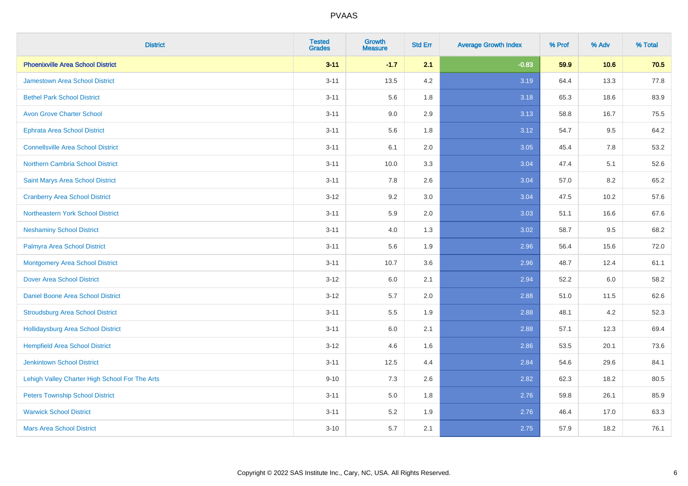| <b>District</b>                                | <b>Tested</b><br><b>Grades</b> | <b>Growth</b><br><b>Measure</b> | <b>Std Err</b> | <b>Average Growth Index</b> | % Prof | % Adv | % Total |
|------------------------------------------------|--------------------------------|---------------------------------|----------------|-----------------------------|--------|-------|---------|
| <b>Phoenixville Area School District</b>       | $3 - 11$                       | $-1.7$                          | 2.1            | $-0.83$                     | 59.9   | 10.6  | 70.5    |
| <b>Jamestown Area School District</b>          | $3 - 11$                       | 13.5                            | 4.2            | 3.19                        | 64.4   | 13.3  | 77.8    |
| <b>Bethel Park School District</b>             | $3 - 11$                       | 5.6                             | 1.8            | 3.18                        | 65.3   | 18.6  | 83.9    |
| <b>Avon Grove Charter School</b>               | $3 - 11$                       | 9.0                             | 2.9            | 3.13                        | 58.8   | 16.7  | 75.5    |
| <b>Ephrata Area School District</b>            | $3 - 11$                       | 5.6                             | 1.8            | 3.12                        | 54.7   | 9.5   | 64.2    |
| <b>Connellsville Area School District</b>      | $3 - 11$                       | 6.1                             | 2.0            | 3.05                        | 45.4   | 7.8   | 53.2    |
| Northern Cambria School District               | $3 - 11$                       | 10.0                            | 3.3            | 3.04                        | 47.4   | 5.1   | 52.6    |
| <b>Saint Marys Area School District</b>        | $3 - 11$                       | 7.8                             | 2.6            | 3.04                        | 57.0   | 8.2   | 65.2    |
| <b>Cranberry Area School District</b>          | $3 - 12$                       | 9.2                             | 3.0            | 3.04                        | 47.5   | 10.2  | 57.6    |
| Northeastern York School District              | $3 - 11$                       | 5.9                             | 2.0            | 3.03                        | 51.1   | 16.6  | 67.6    |
| <b>Neshaminy School District</b>               | $3 - 11$                       | 4.0                             | 1.3            | 3.02                        | 58.7   | 9.5   | 68.2    |
| Palmyra Area School District                   | $3 - 11$                       | 5.6                             | 1.9            | 2.96                        | 56.4   | 15.6  | 72.0    |
| <b>Montgomery Area School District</b>         | $3 - 11$                       | 10.7                            | 3.6            | 2.96                        | 48.7   | 12.4  | 61.1    |
| <b>Dover Area School District</b>              | $3 - 12$                       | 6.0                             | 2.1            | 2.94                        | 52.2   | 6.0   | 58.2    |
| <b>Daniel Boone Area School District</b>       | $3 - 12$                       | 5.7                             | 2.0            | 2.88                        | 51.0   | 11.5  | 62.6    |
| <b>Stroudsburg Area School District</b>        | $3 - 11$                       | 5.5                             | 1.9            | 2.88                        | 48.1   | 4.2   | 52.3    |
| <b>Hollidaysburg Area School District</b>      | $3 - 11$                       | 6.0                             | 2.1            | 2.88                        | 57.1   | 12.3  | 69.4    |
| <b>Hempfield Area School District</b>          | $3 - 12$                       | 4.6                             | 1.6            | 2.86                        | 53.5   | 20.1  | 73.6    |
| <b>Jenkintown School District</b>              | $3 - 11$                       | 12.5                            | 4.4            | 2.84                        | 54.6   | 29.6  | 84.1    |
| Lehigh Valley Charter High School For The Arts | $9 - 10$                       | 7.3                             | 2.6            | 2.82                        | 62.3   | 18.2  | 80.5    |
| <b>Peters Township School District</b>         | $3 - 11$                       | 5.0                             | 1.8            | 2.76                        | 59.8   | 26.1  | 85.9    |
| <b>Warwick School District</b>                 | $3 - 11$                       | 5.2                             | 1.9            | 2.76                        | 46.4   | 17.0  | 63.3    |
| <b>Mars Area School District</b>               | $3 - 10$                       | 5.7                             | 2.1            | 2.75                        | 57.9   | 18.2  | 76.1    |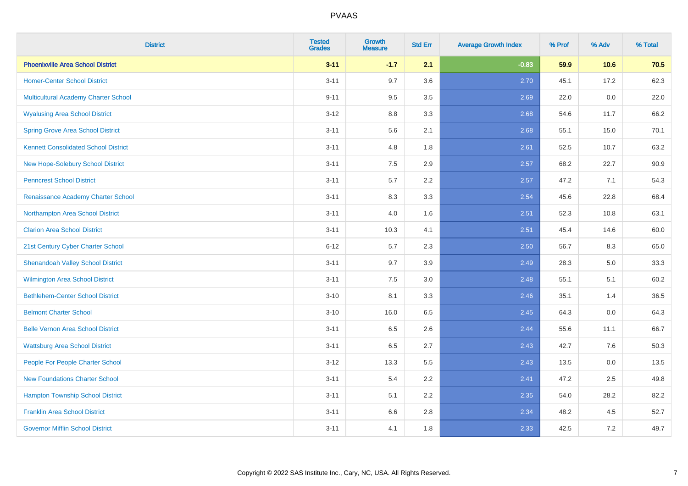| <b>District</b>                             | <b>Tested</b><br><b>Grades</b> | <b>Growth</b><br><b>Measure</b> | <b>Std Err</b> | <b>Average Growth Index</b> | % Prof | % Adv | % Total |
|---------------------------------------------|--------------------------------|---------------------------------|----------------|-----------------------------|--------|-------|---------|
| <b>Phoenixville Area School District</b>    | $3 - 11$                       | $-1.7$                          | 2.1            | $-0.83$                     | 59.9   | 10.6  | 70.5    |
| <b>Homer-Center School District</b>         | $3 - 11$                       | 9.7                             | 3.6            | 2.70                        | 45.1   | 17.2  | 62.3    |
| Multicultural Academy Charter School        | $9 - 11$                       | 9.5                             | 3.5            | 2.69                        | 22.0   | 0.0   | 22.0    |
| <b>Wyalusing Area School District</b>       | $3-12$                         | 8.8                             | 3.3            | 2.68                        | 54.6   | 11.7  | 66.2    |
| <b>Spring Grove Area School District</b>    | $3 - 11$                       | 5.6                             | 2.1            | 2.68                        | 55.1   | 15.0  | 70.1    |
| <b>Kennett Consolidated School District</b> | $3 - 11$                       | 4.8                             | 1.8            | 2.61                        | 52.5   | 10.7  | 63.2    |
| New Hope-Solebury School District           | $3 - 11$                       | 7.5                             | 2.9            | 2.57                        | 68.2   | 22.7  | 90.9    |
| <b>Penncrest School District</b>            | $3 - 11$                       | 5.7                             | 2.2            | 2.57                        | 47.2   | 7.1   | 54.3    |
| Renaissance Academy Charter School          | $3 - 11$                       | 8.3                             | 3.3            | 2.54                        | 45.6   | 22.8  | 68.4    |
| Northampton Area School District            | $3 - 11$                       | 4.0                             | 1.6            | 2.51                        | 52.3   | 10.8  | 63.1    |
| <b>Clarion Area School District</b>         | $3 - 11$                       | 10.3                            | 4.1            | 2.51                        | 45.4   | 14.6  | 60.0    |
| 21st Century Cyber Charter School           | $6 - 12$                       | 5.7                             | 2.3            | 2.50                        | 56.7   | 8.3   | 65.0    |
| <b>Shenandoah Valley School District</b>    | $3 - 11$                       | 9.7                             | 3.9            | 2.49                        | 28.3   | 5.0   | 33.3    |
| <b>Wilmington Area School District</b>      | $3 - 11$                       | $7.5\,$                         | 3.0            | 2.48                        | 55.1   | 5.1   | 60.2    |
| <b>Bethlehem-Center School District</b>     | $3 - 10$                       | 8.1                             | 3.3            | 2.46                        | 35.1   | 1.4   | 36.5    |
| <b>Belmont Charter School</b>               | $3 - 10$                       | 16.0                            | 6.5            | 2.45                        | 64.3   | 0.0   | 64.3    |
| <b>Belle Vernon Area School District</b>    | $3 - 11$                       | 6.5                             | 2.6            | 2.44                        | 55.6   | 11.1  | 66.7    |
| <b>Wattsburg Area School District</b>       | $3 - 11$                       | 6.5                             | 2.7            | 2.43                        | 42.7   | 7.6   | 50.3    |
| People For People Charter School            | $3 - 12$                       | 13.3                            | 5.5            | 2.43                        | 13.5   | 0.0   | 13.5    |
| <b>New Foundations Charter School</b>       | $3 - 11$                       | 5.4                             | 2.2            | 2.41                        | 47.2   | 2.5   | 49.8    |
| <b>Hampton Township School District</b>     | $3 - 11$                       | 5.1                             | 2.2            | 2.35                        | 54.0   | 28.2  | 82.2    |
| <b>Franklin Area School District</b>        | $3 - 11$                       | 6.6                             | 2.8            | 2.34                        | 48.2   | 4.5   | 52.7    |
| <b>Governor Mifflin School District</b>     | $3 - 11$                       | 4.1                             | 1.8            | 2.33                        | 42.5   | 7.2   | 49.7    |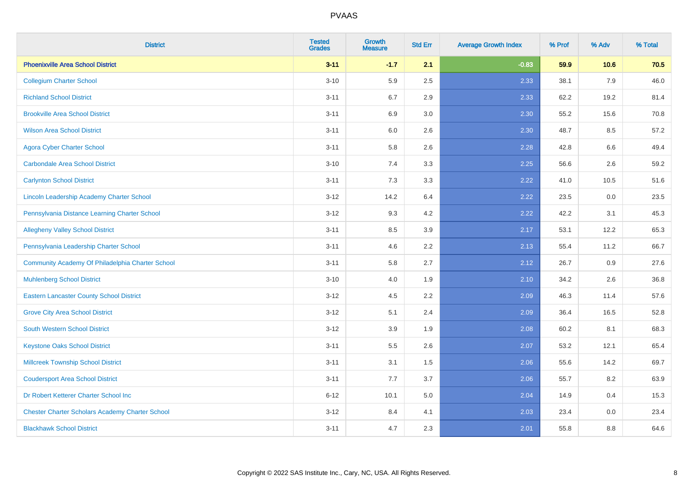| <b>District</b>                                        | <b>Tested</b><br><b>Grades</b> | <b>Growth</b><br><b>Measure</b> | <b>Std Err</b> | <b>Average Growth Index</b> | % Prof | % Adv | % Total |
|--------------------------------------------------------|--------------------------------|---------------------------------|----------------|-----------------------------|--------|-------|---------|
| <b>Phoenixville Area School District</b>               | $3 - 11$                       | $-1.7$                          | 2.1            | $-0.83$                     | 59.9   | 10.6  | 70.5    |
| <b>Collegium Charter School</b>                        | $3 - 10$                       | 5.9                             | 2.5            | 2.33                        | 38.1   | 7.9   | 46.0    |
| <b>Richland School District</b>                        | $3 - 11$                       | 6.7                             | 2.9            | 2.33                        | 62.2   | 19.2  | 81.4    |
| <b>Brookville Area School District</b>                 | $3 - 11$                       | 6.9                             | 3.0            | 2.30                        | 55.2   | 15.6  | 70.8    |
| <b>Wilson Area School District</b>                     | $3 - 11$                       | 6.0                             | 2.6            | 2.30                        | 48.7   | 8.5   | 57.2    |
| <b>Agora Cyber Charter School</b>                      | $3 - 11$                       | 5.8                             | 2.6            | 2.28                        | 42.8   | 6.6   | 49.4    |
| <b>Carbondale Area School District</b>                 | $3 - 10$                       | 7.4                             | 3.3            | 2.25                        | 56.6   | 2.6   | 59.2    |
| <b>Carlynton School District</b>                       | $3 - 11$                       | 7.3                             | 3.3            | 2.22                        | 41.0   | 10.5  | 51.6    |
| Lincoln Leadership Academy Charter School              | $3 - 12$                       | 14.2                            | 6.4            | 2.22                        | 23.5   | 0.0   | 23.5    |
| Pennsylvania Distance Learning Charter School          | $3 - 12$                       | 9.3                             | 4.2            | 2.22                        | 42.2   | 3.1   | 45.3    |
| <b>Allegheny Valley School District</b>                | $3 - 11$                       | 8.5                             | 3.9            | 2.17                        | 53.1   | 12.2  | 65.3    |
| Pennsylvania Leadership Charter School                 | $3 - 11$                       | 4.6                             | 2.2            | 2.13                        | 55.4   | 11.2  | 66.7    |
| Community Academy Of Philadelphia Charter School       | $3 - 11$                       | 5.8                             | 2.7            | 2.12                        | 26.7   | 0.9   | 27.6    |
| <b>Muhlenberg School District</b>                      | $3 - 10$                       | 4.0                             | 1.9            | 2.10                        | 34.2   | 2.6   | 36.8    |
| <b>Eastern Lancaster County School District</b>        | $3 - 12$                       | 4.5                             | 2.2            | 2.09                        | 46.3   | 11.4  | 57.6    |
| <b>Grove City Area School District</b>                 | $3 - 12$                       | 5.1                             | 2.4            | 2.09                        | 36.4   | 16.5  | 52.8    |
| <b>South Western School District</b>                   | $3 - 12$                       | 3.9                             | 1.9            | 2.08                        | 60.2   | 8.1   | 68.3    |
| <b>Keystone Oaks School District</b>                   | $3 - 11$                       | 5.5                             | 2.6            | 2.07                        | 53.2   | 12.1  | 65.4    |
| <b>Millcreek Township School District</b>              | $3 - 11$                       | 3.1                             | 1.5            | 2.06                        | 55.6   | 14.2  | 69.7    |
| <b>Coudersport Area School District</b>                | $3 - 11$                       | 7.7                             | 3.7            | 2.06                        | 55.7   | 8.2   | 63.9    |
| Dr Robert Ketterer Charter School Inc                  | $6 - 12$                       | 10.1                            | 5.0            | 2.04                        | 14.9   | 0.4   | 15.3    |
| <b>Chester Charter Scholars Academy Charter School</b> | $3 - 12$                       | 8.4                             | 4.1            | 2.03                        | 23.4   | 0.0   | 23.4    |
| <b>Blackhawk School District</b>                       | $3 - 11$                       | 4.7                             | 2.3            | 2.01                        | 55.8   | 8.8   | 64.6    |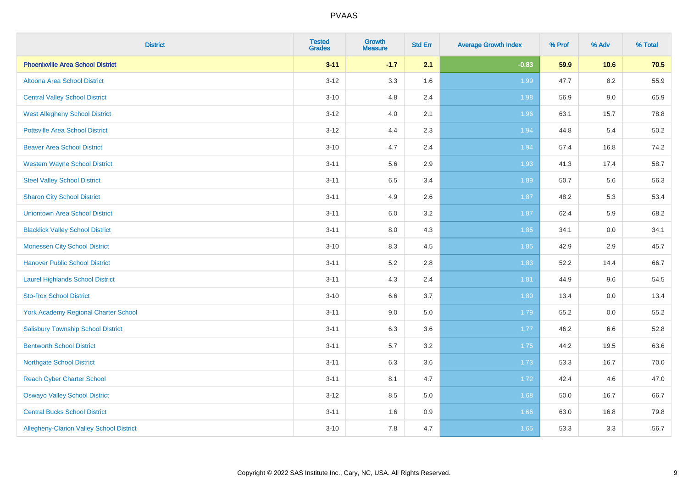| <b>District</b>                             | <b>Tested</b><br><b>Grades</b> | Growth<br><b>Measure</b> | <b>Std Err</b> | <b>Average Growth Index</b> | % Prof | % Adv | % Total |
|---------------------------------------------|--------------------------------|--------------------------|----------------|-----------------------------|--------|-------|---------|
| <b>Phoenixville Area School District</b>    | $3 - 11$                       | $-1.7$                   | 2.1            | $-0.83$                     | 59.9   | 10.6  | 70.5    |
| Altoona Area School District                | $3 - 12$                       | 3.3                      | 1.6            | 1.99                        | 47.7   | 8.2   | 55.9    |
| <b>Central Valley School District</b>       | $3 - 10$                       | 4.8                      | 2.4            | 1.98                        | 56.9   | 9.0   | 65.9    |
| <b>West Allegheny School District</b>       | $3 - 12$                       | 4.0                      | 2.1            | 1.96                        | 63.1   | 15.7  | 78.8    |
| <b>Pottsville Area School District</b>      | $3 - 12$                       | 4.4                      | 2.3            | 1.94                        | 44.8   | 5.4   | 50.2    |
| <b>Beaver Area School District</b>          | $3 - 10$                       | 4.7                      | 2.4            | 1.94                        | 57.4   | 16.8  | 74.2    |
| <b>Western Wayne School District</b>        | $3 - 11$                       | 5.6                      | 2.9            | 1.93                        | 41.3   | 17.4  | 58.7    |
| <b>Steel Valley School District</b>         | $3 - 11$                       | 6.5                      | 3.4            | 1.89                        | 50.7   | 5.6   | 56.3    |
| <b>Sharon City School District</b>          | $3 - 11$                       | 4.9                      | 2.6            | 1.87                        | 48.2   | 5.3   | 53.4    |
| <b>Uniontown Area School District</b>       | $3 - 11$                       | 6.0                      | $3.2\,$        | 1.87                        | 62.4   | 5.9   | 68.2    |
| <b>Blacklick Valley School District</b>     | $3 - 11$                       | 8.0                      | 4.3            | 1.85                        | 34.1   | 0.0   | 34.1    |
| <b>Monessen City School District</b>        | $3 - 10$                       | 8.3                      | 4.5            | 1.85                        | 42.9   | 2.9   | 45.7    |
| <b>Hanover Public School District</b>       | $3 - 11$                       | 5.2                      | 2.8            | 1.83                        | 52.2   | 14.4  | 66.7    |
| <b>Laurel Highlands School District</b>     | $3 - 11$                       | 4.3                      | 2.4            | 1.81                        | 44.9   | 9.6   | 54.5    |
| <b>Sto-Rox School District</b>              | $3 - 10$                       | 6.6                      | 3.7            | 1.80                        | 13.4   | 0.0   | 13.4    |
| <b>York Academy Regional Charter School</b> | $3 - 11$                       | 9.0                      | 5.0            | 1.79                        | 55.2   | 0.0   | 55.2    |
| <b>Salisbury Township School District</b>   | $3 - 11$                       | 6.3                      | 3.6            | 1.77                        | 46.2   | 6.6   | 52.8    |
| <b>Bentworth School District</b>            | $3 - 11$                       | 5.7                      | 3.2            | 1.75                        | 44.2   | 19.5  | 63.6    |
| <b>Northgate School District</b>            | $3 - 11$                       | 6.3                      | 3.6            | 1.73                        | 53.3   | 16.7  | 70.0    |
| <b>Reach Cyber Charter School</b>           | $3 - 11$                       | 8.1                      | 4.7            | 1.72                        | 42.4   | 4.6   | 47.0    |
| <b>Oswayo Valley School District</b>        | $3 - 12$                       | 8.5                      | 5.0            | 1.68                        | 50.0   | 16.7  | 66.7    |
| <b>Central Bucks School District</b>        | $3 - 11$                       | 1.6                      | 0.9            | 1.66                        | 63.0   | 16.8  | 79.8    |
| Allegheny-Clarion Valley School District    | $3 - 10$                       | 7.8                      | 4.7            | 1.65                        | 53.3   | 3.3   | 56.7    |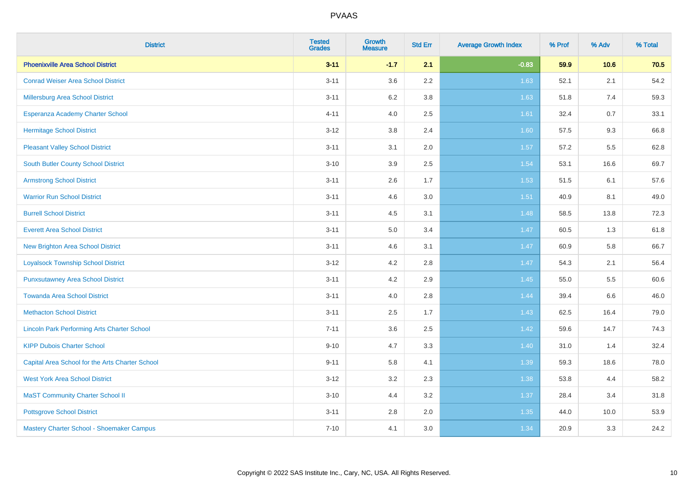| <b>District</b>                                    | <b>Tested</b><br><b>Grades</b> | <b>Growth</b><br><b>Measure</b> | <b>Std Err</b> | <b>Average Growth Index</b> | % Prof | % Adv   | % Total |
|----------------------------------------------------|--------------------------------|---------------------------------|----------------|-----------------------------|--------|---------|---------|
| <b>Phoenixville Area School District</b>           | $3 - 11$                       | $-1.7$                          | 2.1            | $-0.83$                     | 59.9   | 10.6    | 70.5    |
| <b>Conrad Weiser Area School District</b>          | $3 - 11$                       | 3.6                             | 2.2            | 1.63                        | 52.1   | 2.1     | 54.2    |
| Millersburg Area School District                   | $3 - 11$                       | 6.2                             | 3.8            | 1.63                        | 51.8   | 7.4     | 59.3    |
| <b>Esperanza Academy Charter School</b>            | $4 - 11$                       | 4.0                             | 2.5            | 1.61                        | 32.4   | 0.7     | 33.1    |
| <b>Hermitage School District</b>                   | $3 - 12$                       | 3.8                             | 2.4            | 1.60                        | 57.5   | 9.3     | 66.8    |
| <b>Pleasant Valley School District</b>             | $3 - 11$                       | 3.1                             | 2.0            | 1.57                        | 57.2   | 5.5     | 62.8    |
| <b>South Butler County School District</b>         | $3 - 10$                       | 3.9                             | 2.5            | 1.54                        | 53.1   | 16.6    | 69.7    |
| <b>Armstrong School District</b>                   | $3 - 11$                       | 2.6                             | 1.7            | 1.53                        | 51.5   | 6.1     | 57.6    |
| <b>Warrior Run School District</b>                 | $3 - 11$                       | 4.6                             | 3.0            | $1.51$                      | 40.9   | 8.1     | 49.0    |
| <b>Burrell School District</b>                     | $3 - 11$                       | 4.5                             | 3.1            | 1.48                        | 58.5   | 13.8    | 72.3    |
| <b>Everett Area School District</b>                | $3 - 11$                       | 5.0                             | 3.4            | 1.47                        | 60.5   | 1.3     | 61.8    |
| <b>New Brighton Area School District</b>           | $3 - 11$                       | 4.6                             | 3.1            | 1.47                        | 60.9   | 5.8     | 66.7    |
| <b>Loyalsock Township School District</b>          | $3 - 12$                       | 4.2                             | 2.8            | 1.47                        | 54.3   | 2.1     | 56.4    |
| <b>Punxsutawney Area School District</b>           | $3 - 11$                       | 4.2                             | 2.9            | 1.45                        | 55.0   | 5.5     | 60.6    |
| <b>Towanda Area School District</b>                | $3 - 11$                       | 4.0                             | 2.8            | 1.44                        | 39.4   | $6.6\,$ | 46.0    |
| <b>Methacton School District</b>                   | $3 - 11$                       | 2.5                             | 1.7            | 1.43                        | 62.5   | 16.4    | 79.0    |
| <b>Lincoln Park Performing Arts Charter School</b> | $7 - 11$                       | 3.6                             | 2.5            | 1.42                        | 59.6   | 14.7    | 74.3    |
| <b>KIPP Dubois Charter School</b>                  | $9 - 10$                       | 4.7                             | 3.3            | 1.40                        | 31.0   | 1.4     | 32.4    |
| Capital Area School for the Arts Charter School    | $9 - 11$                       | 5.8                             | 4.1            | 1.39                        | 59.3   | 18.6    | 78.0    |
| <b>West York Area School District</b>              | $3 - 12$                       | 3.2                             | 2.3            | 1.38                        | 53.8   | 4.4     | 58.2    |
| <b>MaST Community Charter School II</b>            | $3 - 10$                       | 4.4                             | 3.2            | 1.37                        | 28.4   | 3.4     | 31.8    |
| <b>Pottsgrove School District</b>                  | $3 - 11$                       | 2.8                             | 2.0            | 1.35                        | 44.0   | 10.0    | 53.9    |
| Mastery Charter School - Shoemaker Campus          | $7 - 10$                       | 4.1                             | 3.0            | 1.34                        | 20.9   | 3.3     | 24.2    |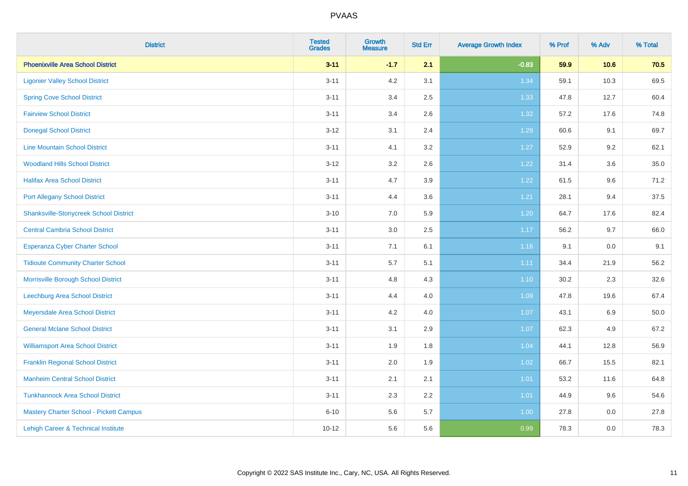| <b>District</b>                               | <b>Tested</b><br><b>Grades</b> | <b>Growth</b><br><b>Measure</b> | <b>Std Err</b> | <b>Average Growth Index</b> | % Prof | % Adv   | % Total |
|-----------------------------------------------|--------------------------------|---------------------------------|----------------|-----------------------------|--------|---------|---------|
| <b>Phoenixville Area School District</b>      | $3 - 11$                       | $-1.7$                          | 2.1            | $-0.83$                     | 59.9   | 10.6    | 70.5    |
| <b>Ligonier Valley School District</b>        | $3 - 11$                       | 4.2                             | 3.1            | 1.34                        | 59.1   | 10.3    | 69.5    |
| <b>Spring Cove School District</b>            | $3 - 11$                       | 3.4                             | 2.5            | 1.33                        | 47.8   | 12.7    | 60.4    |
| <b>Fairview School District</b>               | $3 - 11$                       | 3.4                             | 2.6            | 1.32                        | 57.2   | 17.6    | 74.8    |
| <b>Donegal School District</b>                | $3 - 12$                       | 3.1                             | 2.4            | 1.29                        | 60.6   | 9.1     | 69.7    |
| <b>Line Mountain School District</b>          | $3 - 11$                       | 4.1                             | 3.2            | 1.27                        | 52.9   | 9.2     | 62.1    |
| <b>Woodland Hills School District</b>         | $3 - 12$                       | 3.2                             | 2.6            | 1.22                        | 31.4   | 3.6     | 35.0    |
| <b>Halifax Area School District</b>           | $3 - 11$                       | 4.7                             | 3.9            | 1.22                        | 61.5   | 9.6     | 71.2    |
| <b>Port Allegany School District</b>          | $3 - 11$                       | 4.4                             | 3.6            | 1.21                        | 28.1   | 9.4     | 37.5    |
| <b>Shanksville-Stonycreek School District</b> | $3 - 10$                       | 7.0                             | 5.9            | 1.20                        | 64.7   | 17.6    | 82.4    |
| <b>Central Cambria School District</b>        | $3 - 11$                       | 3.0                             | 2.5            | 1.17                        | 56.2   | 9.7     | 66.0    |
| Esperanza Cyber Charter School                | $3 - 11$                       | 7.1                             | 6.1            | 1.16                        | 9.1    | 0.0     | 9.1     |
| <b>Tidioute Community Charter School</b>      | $3 - 11$                       | 5.7                             | 5.1            | 1.11                        | 34.4   | 21.9    | 56.2    |
| Morrisville Borough School District           | $3 - 11$                       | 4.8                             | 4.3            | 1.10                        | 30.2   | 2.3     | 32.6    |
| Leechburg Area School District                | $3 - 11$                       | 4.4                             | 4.0            | 1.09                        | 47.8   | 19.6    | 67.4    |
| Meyersdale Area School District               | $3 - 11$                       | 4.2                             | 4.0            | 1.07                        | 43.1   | 6.9     | 50.0    |
| <b>General Mclane School District</b>         | $3 - 11$                       | 3.1                             | 2.9            | 1.07                        | 62.3   | 4.9     | 67.2    |
| <b>Williamsport Area School District</b>      | $3 - 11$                       | 1.9                             | 1.8            | 1.04                        | 44.1   | 12.8    | 56.9    |
| <b>Franklin Regional School District</b>      | $3 - 11$                       | 2.0                             | 1.9            | 1.02                        | 66.7   | 15.5    | 82.1    |
| <b>Manheim Central School District</b>        | $3 - 11$                       | 2.1                             | 2.1            | 1.01                        | 53.2   | 11.6    | 64.8    |
| <b>Tunkhannock Area School District</b>       | $3 - 11$                       | 2.3                             | 2.2            | 1.01                        | 44.9   | 9.6     | 54.6    |
| Mastery Charter School - Pickett Campus       | $6 - 10$                       | 5.6                             | 5.7            | 1.00                        | 27.8   | $0.0\,$ | 27.8    |
| Lehigh Career & Technical Institute           | $10 - 12$                      | 5.6                             | 5.6            | 0.99                        | 78.3   | 0.0     | 78.3    |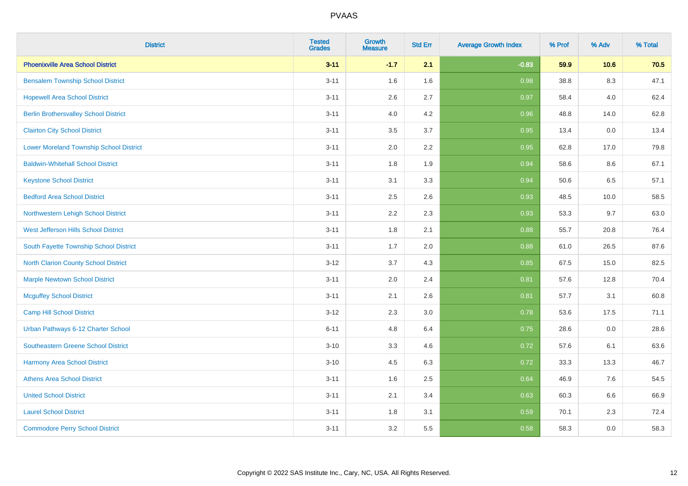| <b>District</b>                                | <b>Tested</b><br><b>Grades</b> | <b>Growth</b><br><b>Measure</b> | <b>Std Err</b> | <b>Average Growth Index</b> | % Prof | % Adv   | % Total |
|------------------------------------------------|--------------------------------|---------------------------------|----------------|-----------------------------|--------|---------|---------|
| <b>Phoenixville Area School District</b>       | $3 - 11$                       | $-1.7$                          | 2.1            | $-0.83$                     | 59.9   | 10.6    | 70.5    |
| <b>Bensalem Township School District</b>       | $3 - 11$                       | 1.6                             | 1.6            | 0.98                        | 38.8   | $8.3\,$ | 47.1    |
| <b>Hopewell Area School District</b>           | $3 - 11$                       | 2.6                             | 2.7            | 0.97                        | 58.4   | 4.0     | 62.4    |
| <b>Berlin Brothersvalley School District</b>   | $3 - 11$                       | 4.0                             | 4.2            | 0.96                        | 48.8   | 14.0    | 62.8    |
| <b>Clairton City School District</b>           | $3 - 11$                       | 3.5                             | 3.7            | 0.95                        | 13.4   | 0.0     | 13.4    |
| <b>Lower Moreland Township School District</b> | $3 - 11$                       | 2.0                             | 2.2            | 0.95                        | 62.8   | 17.0    | 79.8    |
| <b>Baldwin-Whitehall School District</b>       | $3 - 11$                       | 1.8                             | 1.9            | 0.94                        | 58.6   | 8.6     | 67.1    |
| <b>Keystone School District</b>                | $3 - 11$                       | 3.1                             | 3.3            | 0.94                        | 50.6   | 6.5     | 57.1    |
| <b>Bedford Area School District</b>            | $3 - 11$                       | 2.5                             | 2.6            | 0.93                        | 48.5   | 10.0    | 58.5    |
| Northwestern Lehigh School District            | $3 - 11$                       | 2.2                             | 2.3            | 0.93                        | 53.3   | 9.7     | 63.0    |
| West Jefferson Hills School District           | $3 - 11$                       | 1.8                             | 2.1            | 0.88                        | 55.7   | 20.8    | 76.4    |
| South Fayette Township School District         | $3 - 11$                       | 1.7                             | 2.0            | 0.88                        | 61.0   | 26.5    | 87.6    |
| <b>North Clarion County School District</b>    | $3 - 12$                       | 3.7                             | 4.3            | 0.85                        | 67.5   | 15.0    | 82.5    |
| <b>Marple Newtown School District</b>          | $3 - 11$                       | 2.0                             | 2.4            | 0.81                        | 57.6   | 12.8    | 70.4    |
| <b>Mcguffey School District</b>                | $3 - 11$                       | 2.1                             | 2.6            | 0.81                        | 57.7   | 3.1     | 60.8    |
| <b>Camp Hill School District</b>               | $3 - 12$                       | 2.3                             | 3.0            | 0.78                        | 53.6   | 17.5    | 71.1    |
| Urban Pathways 6-12 Charter School             | $6 - 11$                       | 4.8                             | 6.4            | 0.75                        | 28.6   | 0.0     | 28.6    |
| Southeastern Greene School District            | $3 - 10$                       | 3.3                             | 4.6            | 0.72                        | 57.6   | 6.1     | 63.6    |
| <b>Harmony Area School District</b>            | $3 - 10$                       | 4.5                             | 6.3            | 0.72                        | 33.3   | 13.3    | 46.7    |
| <b>Athens Area School District</b>             | $3 - 11$                       | 1.6                             | 2.5            | 0.64                        | 46.9   | 7.6     | 54.5    |
| <b>United School District</b>                  | $3 - 11$                       | 2.1                             | 3.4            | 0.63                        | 60.3   | 6.6     | 66.9    |
| <b>Laurel School District</b>                  | $3 - 11$                       | 1.8                             | 3.1            | 0.59                        | 70.1   | 2.3     | 72.4    |
| <b>Commodore Perry School District</b>         | $3 - 11$                       | 3.2                             | 5.5            | 0.58                        | 58.3   | 0.0     | 58.3    |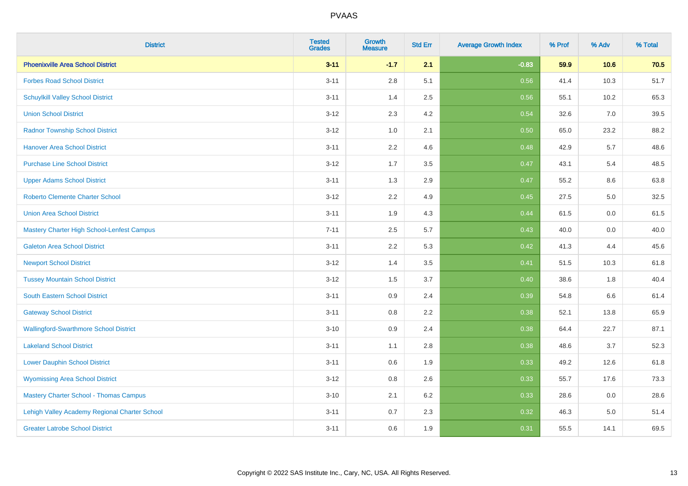| <b>District</b>                                   | <b>Tested</b><br><b>Grades</b> | <b>Growth</b><br><b>Measure</b> | <b>Std Err</b> | <b>Average Growth Index</b> | % Prof | % Adv | % Total |
|---------------------------------------------------|--------------------------------|---------------------------------|----------------|-----------------------------|--------|-------|---------|
| <b>Phoenixville Area School District</b>          | $3 - 11$                       | $-1.7$                          | 2.1            | $-0.83$                     | 59.9   | 10.6  | 70.5    |
| <b>Forbes Road School District</b>                | $3 - 11$                       | 2.8                             | 5.1            | 0.56                        | 41.4   | 10.3  | 51.7    |
| <b>Schuylkill Valley School District</b>          | $3 - 11$                       | 1.4                             | 2.5            | 0.56                        | 55.1   | 10.2  | 65.3    |
| <b>Union School District</b>                      | $3 - 12$                       | 2.3                             | 4.2            | 0.54                        | 32.6   | 7.0   | 39.5    |
| <b>Radnor Township School District</b>            | $3 - 12$                       | 1.0                             | 2.1            | 0.50                        | 65.0   | 23.2  | 88.2    |
| <b>Hanover Area School District</b>               | $3 - 11$                       | 2.2                             | 4.6            | 0.48                        | 42.9   | 5.7   | 48.6    |
| <b>Purchase Line School District</b>              | $3 - 12$                       | 1.7                             | 3.5            | 0.47                        | 43.1   | 5.4   | 48.5    |
| <b>Upper Adams School District</b>                | $3 - 11$                       | 1.3                             | 2.9            | 0.47                        | 55.2   | 8.6   | 63.8    |
| <b>Roberto Clemente Charter School</b>            | $3 - 12$                       | 2.2                             | 4.9            | 0.45                        | 27.5   | 5.0   | 32.5    |
| <b>Union Area School District</b>                 | $3 - 11$                       | 1.9                             | 4.3            | 0.44                        | 61.5   | 0.0   | 61.5    |
| <b>Mastery Charter High School-Lenfest Campus</b> | $7 - 11$                       | 2.5                             | 5.7            | 0.43                        | 40.0   | 0.0   | 40.0    |
| <b>Galeton Area School District</b>               | $3 - 11$                       | 2.2                             | 5.3            | 0.42                        | 41.3   | 4.4   | 45.6    |
| <b>Newport School District</b>                    | $3 - 12$                       | 1.4                             | 3.5            | 0.41                        | 51.5   | 10.3  | 61.8    |
| <b>Tussey Mountain School District</b>            | $3 - 12$                       | 1.5                             | 3.7            | 0.40                        | 38.6   | 1.8   | 40.4    |
| <b>South Eastern School District</b>              | $3 - 11$                       | 0.9                             | 2.4            | 0.39                        | 54.8   | 6.6   | 61.4    |
| <b>Gateway School District</b>                    | $3 - 11$                       | $0.8\,$                         | 2.2            | 0.38                        | 52.1   | 13.8  | 65.9    |
| <b>Wallingford-Swarthmore School District</b>     | $3 - 10$                       | 0.9                             | 2.4            | 0.38                        | 64.4   | 22.7  | 87.1    |
| <b>Lakeland School District</b>                   | $3 - 11$                       | 1.1                             | 2.8            | 0.38                        | 48.6   | 3.7   | 52.3    |
| <b>Lower Dauphin School District</b>              | $3 - 11$                       | $0.6\,$                         | 1.9            | 0.33                        | 49.2   | 12.6  | 61.8    |
| <b>Wyomissing Area School District</b>            | $3 - 12$                       | 0.8                             | 2.6            | 0.33                        | 55.7   | 17.6  | 73.3    |
| <b>Mastery Charter School - Thomas Campus</b>     | $3 - 10$                       | 2.1                             | 6.2            | 0.33                        | 28.6   | 0.0   | 28.6    |
| Lehigh Valley Academy Regional Charter School     | $3 - 11$                       | 0.7                             | 2.3            | 0.32                        | 46.3   | 5.0   | 51.4    |
| <b>Greater Latrobe School District</b>            | $3 - 11$                       | 0.6                             | 1.9            | 0.31                        | 55.5   | 14.1  | 69.5    |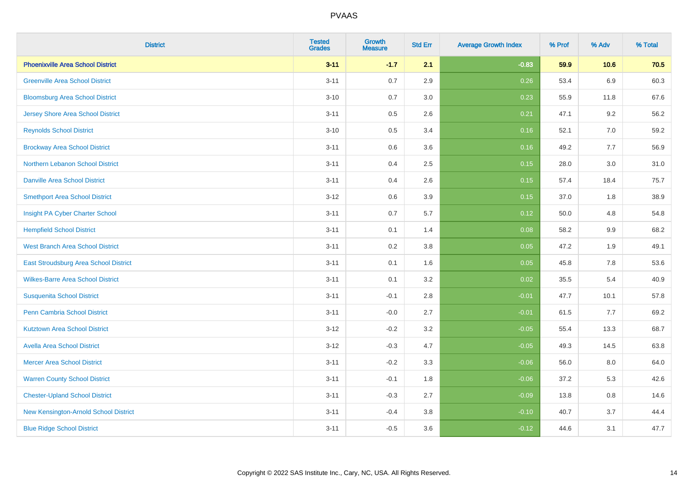| <b>District</b>                          | <b>Tested</b><br><b>Grades</b> | <b>Growth</b><br><b>Measure</b> | <b>Std Err</b> | <b>Average Growth Index</b> | % Prof | % Adv   | % Total |
|------------------------------------------|--------------------------------|---------------------------------|----------------|-----------------------------|--------|---------|---------|
| <b>Phoenixville Area School District</b> | $3 - 11$                       | $-1.7$                          | 2.1            | $-0.83$                     | 59.9   | 10.6    | 70.5    |
| <b>Greenville Area School District</b>   | $3 - 11$                       | 0.7                             | 2.9            | 0.26                        | 53.4   | $6.9\,$ | 60.3    |
| <b>Bloomsburg Area School District</b>   | $3 - 10$                       | 0.7                             | 3.0            | 0.23                        | 55.9   | 11.8    | 67.6    |
| <b>Jersey Shore Area School District</b> | $3 - 11$                       | $0.5\,$                         | 2.6            | 0.21                        | 47.1   | 9.2     | 56.2    |
| <b>Reynolds School District</b>          | $3 - 10$                       | 0.5                             | 3.4            | 0.16                        | 52.1   | 7.0     | 59.2    |
| <b>Brockway Area School District</b>     | $3 - 11$                       | 0.6                             | 3.6            | 0.16                        | 49.2   | 7.7     | 56.9    |
| Northern Lebanon School District         | $3 - 11$                       | 0.4                             | 2.5            | 0.15                        | 28.0   | 3.0     | 31.0    |
| <b>Danville Area School District</b>     | $3 - 11$                       | 0.4                             | 2.6            | 0.15                        | 57.4   | 18.4    | 75.7    |
| <b>Smethport Area School District</b>    | $3 - 12$                       | 0.6                             | 3.9            | 0.15                        | 37.0   | 1.8     | 38.9    |
| Insight PA Cyber Charter School          | $3 - 11$                       | 0.7                             | 5.7            | 0.12                        | 50.0   | 4.8     | 54.8    |
| <b>Hempfield School District</b>         | $3 - 11$                       | 0.1                             | 1.4            | 0.08                        | 58.2   | 9.9     | 68.2    |
| <b>West Branch Area School District</b>  | $3 - 11$                       | 0.2                             | 3.8            | 0.05                        | 47.2   | 1.9     | 49.1    |
| East Stroudsburg Area School District    | $3 - 11$                       | 0.1                             | 1.6            | 0.05                        | 45.8   | $7.8\,$ | 53.6    |
| <b>Wilkes-Barre Area School District</b> | $3 - 11$                       | 0.1                             | 3.2            | 0.02                        | 35.5   | 5.4     | 40.9    |
| <b>Susquenita School District</b>        | $3 - 11$                       | $-0.1$                          | 2.8            | $-0.01$                     | 47.7   | 10.1    | 57.8    |
| <b>Penn Cambria School District</b>      | $3 - 11$                       | $-0.0$                          | 2.7            | $-0.01$                     | 61.5   | 7.7     | 69.2    |
| <b>Kutztown Area School District</b>     | $3 - 12$                       | $-0.2$                          | 3.2            | $-0.05$                     | 55.4   | 13.3    | 68.7    |
| <b>Avella Area School District</b>       | $3 - 12$                       | $-0.3$                          | 4.7            | $-0.05$                     | 49.3   | 14.5    | 63.8    |
| <b>Mercer Area School District</b>       | $3 - 11$                       | $-0.2$                          | 3.3            | $-0.06$                     | 56.0   | 8.0     | 64.0    |
| <b>Warren County School District</b>     | $3 - 11$                       | $-0.1$                          | 1.8            | $-0.06$                     | 37.2   | 5.3     | 42.6    |
| <b>Chester-Upland School District</b>    | $3 - 11$                       | $-0.3$                          | 2.7            | $-0.09$                     | 13.8   | 0.8     | 14.6    |
| New Kensington-Arnold School District    | $3 - 11$                       | $-0.4$                          | 3.8            | $-0.10$                     | 40.7   | 3.7     | 44.4    |
| <b>Blue Ridge School District</b>        | $3 - 11$                       | $-0.5$                          | 3.6            | $-0.12$                     | 44.6   | 3.1     | 47.7    |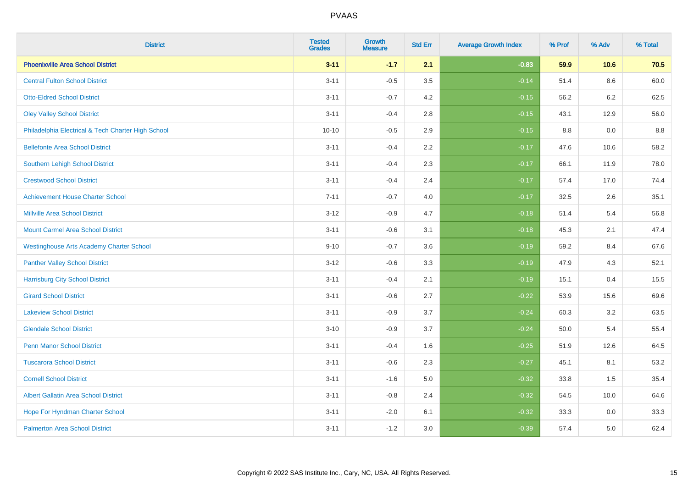| <b>District</b>                                    | <b>Tested</b><br><b>Grades</b> | <b>Growth</b><br><b>Measure</b> | <b>Std Err</b> | <b>Average Growth Index</b> | % Prof | % Adv   | % Total |
|----------------------------------------------------|--------------------------------|---------------------------------|----------------|-----------------------------|--------|---------|---------|
| <b>Phoenixville Area School District</b>           | $3 - 11$                       | $-1.7$                          | 2.1            | $-0.83$                     | 59.9   | 10.6    | 70.5    |
| <b>Central Fulton School District</b>              | $3 - 11$                       | $-0.5$                          | 3.5            | $-0.14$                     | 51.4   | $8.6\,$ | 60.0    |
| <b>Otto-Eldred School District</b>                 | $3 - 11$                       | $-0.7$                          | 4.2            | $-0.15$                     | 56.2   | 6.2     | 62.5    |
| <b>Oley Valley School District</b>                 | $3 - 11$                       | $-0.4$                          | 2.8            | $-0.15$                     | 43.1   | 12.9    | 56.0    |
| Philadelphia Electrical & Tech Charter High School | $10 - 10$                      | $-0.5$                          | 2.9            | $-0.15$                     | 8.8    | 0.0     | 8.8     |
| <b>Bellefonte Area School District</b>             | $3 - 11$                       | $-0.4$                          | 2.2            | $-0.17$                     | 47.6   | 10.6    | 58.2    |
| Southern Lehigh School District                    | $3 - 11$                       | $-0.4$                          | 2.3            | $-0.17$                     | 66.1   | 11.9    | 78.0    |
| <b>Crestwood School District</b>                   | $3 - 11$                       | $-0.4$                          | 2.4            | $-0.17$                     | 57.4   | 17.0    | 74.4    |
| <b>Achievement House Charter School</b>            | $7 - 11$                       | $-0.7$                          | 4.0            | $-0.17$                     | 32.5   | 2.6     | 35.1    |
| <b>Millville Area School District</b>              | $3 - 12$                       | $-0.9$                          | 4.7            | $-0.18$                     | 51.4   | 5.4     | 56.8    |
| <b>Mount Carmel Area School District</b>           | $3 - 11$                       | $-0.6$                          | 3.1            | $-0.18$                     | 45.3   | 2.1     | 47.4    |
| <b>Westinghouse Arts Academy Charter School</b>    | $9 - 10$                       | $-0.7$                          | 3.6            | $-0.19$                     | 59.2   | 8.4     | 67.6    |
| <b>Panther Valley School District</b>              | $3 - 12$                       | $-0.6$                          | 3.3            | $-0.19$                     | 47.9   | 4.3     | 52.1    |
| <b>Harrisburg City School District</b>             | $3 - 11$                       | $-0.4$                          | 2.1            | $-0.19$                     | 15.1   | 0.4     | 15.5    |
| <b>Girard School District</b>                      | $3 - 11$                       | $-0.6$                          | 2.7            | $-0.22$                     | 53.9   | 15.6    | 69.6    |
| <b>Lakeview School District</b>                    | $3 - 11$                       | $-0.9$                          | 3.7            | $-0.24$                     | 60.3   | 3.2     | 63.5    |
| <b>Glendale School District</b>                    | $3 - 10$                       | $-0.9$                          | 3.7            | $-0.24$                     | 50.0   | 5.4     | 55.4    |
| <b>Penn Manor School District</b>                  | $3 - 11$                       | $-0.4$                          | 1.6            | $-0.25$                     | 51.9   | 12.6    | 64.5    |
| <b>Tuscarora School District</b>                   | $3 - 11$                       | $-0.6$                          | 2.3            | $-0.27$                     | 45.1   | 8.1     | 53.2    |
| <b>Cornell School District</b>                     | $3 - 11$                       | $-1.6$                          | 5.0            | $-0.32$                     | 33.8   | 1.5     | 35.4    |
| <b>Albert Gallatin Area School District</b>        | $3 - 11$                       | $-0.8$                          | 2.4            | $-0.32$                     | 54.5   | 10.0    | 64.6    |
| Hope For Hyndman Charter School                    | $3 - 11$                       | $-2.0$                          | 6.1            | $-0.32$                     | 33.3   | 0.0     | 33.3    |
| <b>Palmerton Area School District</b>              | $3 - 11$                       | $-1.2$                          | 3.0            | $-0.39$                     | 57.4   | 5.0     | 62.4    |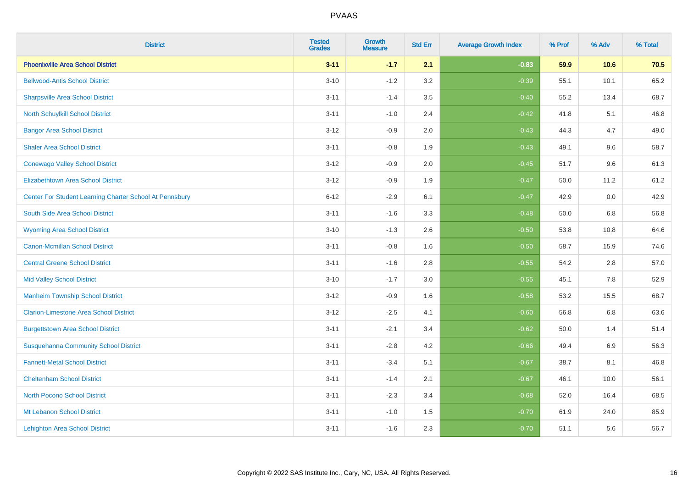| <b>District</b>                                         | <b>Tested</b><br><b>Grades</b> | <b>Growth</b><br><b>Measure</b> | <b>Std Err</b> | <b>Average Growth Index</b> | % Prof | % Adv   | % Total |
|---------------------------------------------------------|--------------------------------|---------------------------------|----------------|-----------------------------|--------|---------|---------|
| <b>Phoenixville Area School District</b>                | $3 - 11$                       | $-1.7$                          | 2.1            | $-0.83$                     | 59.9   | 10.6    | 70.5    |
| <b>Bellwood-Antis School District</b>                   | $3 - 10$                       | $-1.2$                          | 3.2            | $-0.39$                     | 55.1   | 10.1    | 65.2    |
| <b>Sharpsville Area School District</b>                 | $3 - 11$                       | $-1.4$                          | 3.5            | $-0.40$                     | 55.2   | 13.4    | 68.7    |
| North Schuylkill School District                        | $3 - 11$                       | $-1.0$                          | 2.4            | $-0.42$                     | 41.8   | 5.1     | 46.8    |
| <b>Bangor Area School District</b>                      | $3 - 12$                       | $-0.9$                          | 2.0            | $-0.43$                     | 44.3   | 4.7     | 49.0    |
| <b>Shaler Area School District</b>                      | $3 - 11$                       | $-0.8$                          | 1.9            | $-0.43$                     | 49.1   | 9.6     | 58.7    |
| <b>Conewago Valley School District</b>                  | $3 - 12$                       | $-0.9$                          | 2.0            | $-0.45$                     | 51.7   | 9.6     | 61.3    |
| <b>Elizabethtown Area School District</b>               | $3 - 12$                       | $-0.9$                          | 1.9            | $-0.47$                     | 50.0   | 11.2    | 61.2    |
| Center For Student Learning Charter School At Pennsbury | $6 - 12$                       | $-2.9$                          | 6.1            | $-0.47$                     | 42.9   | 0.0     | 42.9    |
| South Side Area School District                         | $3 - 11$                       | $-1.6$                          | 3.3            | $-0.48$                     | 50.0   | 6.8     | 56.8    |
| <b>Wyoming Area School District</b>                     | $3 - 10$                       | $-1.3$                          | 2.6            | $-0.50$                     | 53.8   | 10.8    | 64.6    |
| <b>Canon-Mcmillan School District</b>                   | $3 - 11$                       | $-0.8$                          | 1.6            | $-0.50$                     | 58.7   | 15.9    | 74.6    |
| <b>Central Greene School District</b>                   | $3 - 11$                       | $-1.6$                          | 2.8            | $-0.55$                     | 54.2   | $2.8\,$ | 57.0    |
| <b>Mid Valley School District</b>                       | $3 - 10$                       | $-1.7$                          | 3.0            | $-0.55$                     | 45.1   | 7.8     | 52.9    |
| <b>Manheim Township School District</b>                 | $3 - 12$                       | $-0.9$                          | 1.6            | $-0.58$                     | 53.2   | 15.5    | 68.7    |
| <b>Clarion-Limestone Area School District</b>           | $3 - 12$                       | $-2.5$                          | 4.1            | $-0.60$                     | 56.8   | $6.8\,$ | 63.6    |
| <b>Burgettstown Area School District</b>                | $3 - 11$                       | $-2.1$                          | 3.4            | $-0.62$                     | 50.0   | 1.4     | 51.4    |
| <b>Susquehanna Community School District</b>            | $3 - 11$                       | $-2.8$                          | 4.2            | $-0.66$                     | 49.4   | 6.9     | 56.3    |
| <b>Fannett-Metal School District</b>                    | $3 - 11$                       | $-3.4$                          | 5.1            | $-0.67$                     | 38.7   | 8.1     | 46.8    |
| <b>Cheltenham School District</b>                       | $3 - 11$                       | $-1.4$                          | 2.1            | $-0.67$                     | 46.1   | 10.0    | 56.1    |
| <b>North Pocono School District</b>                     | $3 - 11$                       | $-2.3$                          | 3.4            | $-0.68$                     | 52.0   | 16.4    | 68.5    |
| Mt Lebanon School District                              | $3 - 11$                       | $-1.0$                          | $1.5$          | $-0.70$                     | 61.9   | 24.0    | 85.9    |
| <b>Lehighton Area School District</b>                   | $3 - 11$                       | $-1.6$                          | 2.3            | $-0.70$                     | 51.1   | 5.6     | 56.7    |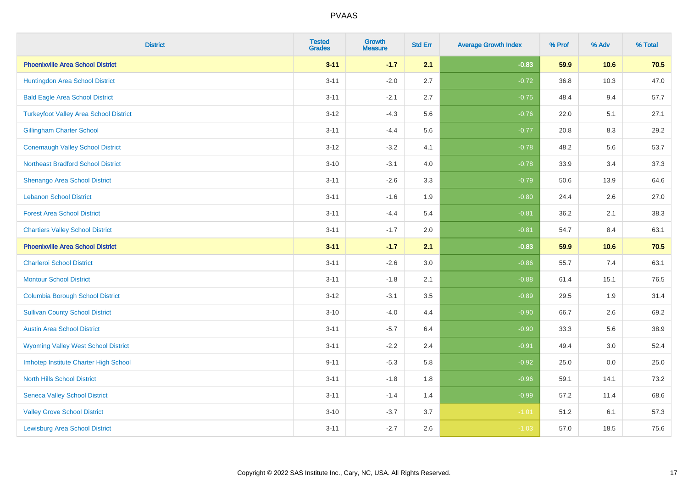| <b>District</b>                               | <b>Tested</b><br><b>Grades</b> | <b>Growth</b><br><b>Measure</b> | <b>Std Err</b> | <b>Average Growth Index</b> | % Prof | % Adv | % Total |
|-----------------------------------------------|--------------------------------|---------------------------------|----------------|-----------------------------|--------|-------|---------|
| <b>Phoenixville Area School District</b>      | $3 - 11$                       | $-1.7$                          | 2.1            | $-0.83$                     | 59.9   | 10.6  | 70.5    |
| Huntingdon Area School District               | $3 - 11$                       | $-2.0$                          | 2.7            | $-0.72$                     | 36.8   | 10.3  | 47.0    |
| <b>Bald Eagle Area School District</b>        | $3 - 11$                       | $-2.1$                          | 2.7            | $-0.75$                     | 48.4   | 9.4   | 57.7    |
| <b>Turkeyfoot Valley Area School District</b> | $3 - 12$                       | $-4.3$                          | 5.6            | $-0.76$                     | 22.0   | 5.1   | 27.1    |
| <b>Gillingham Charter School</b>              | $3 - 11$                       | $-4.4$                          | 5.6            | $-0.77$                     | 20.8   | 8.3   | 29.2    |
| <b>Conemaugh Valley School District</b>       | $3 - 12$                       | $-3.2$                          | 4.1            | $-0.78$                     | 48.2   | 5.6   | 53.7    |
| <b>Northeast Bradford School District</b>     | $3 - 10$                       | $-3.1$                          | 4.0            | $-0.78$                     | 33.9   | 3.4   | 37.3    |
| <b>Shenango Area School District</b>          | $3 - 11$                       | $-2.6$                          | 3.3            | $-0.79$                     | 50.6   | 13.9  | 64.6    |
| <b>Lebanon School District</b>                | $3 - 11$                       | $-1.6$                          | 1.9            | $-0.80$                     | 24.4   | 2.6   | 27.0    |
| <b>Forest Area School District</b>            | $3 - 11$                       | $-4.4$                          | 5.4            | $-0.81$                     | 36.2   | 2.1   | 38.3    |
| <b>Chartiers Valley School District</b>       | $3 - 11$                       | $-1.7$                          | 2.0            | $-0.81$                     | 54.7   | 8.4   | 63.1    |
| <b>Phoenixville Area School District</b>      | $3 - 11$                       | $-1.7$                          | 2.1            | $-0.83$                     | 59.9   | 10.6  | 70.5    |
| <b>Charleroi School District</b>              | $3 - 11$                       | $-2.6$                          | 3.0            | $-0.86$                     | 55.7   | $7.4$ | 63.1    |
| <b>Montour School District</b>                | $3 - 11$                       | $-1.8$                          | 2.1            | $-0.88$                     | 61.4   | 15.1  | 76.5    |
| <b>Columbia Borough School District</b>       | $3 - 12$                       | $-3.1$                          | 3.5            | $-0.89$                     | 29.5   | 1.9   | 31.4    |
| <b>Sullivan County School District</b>        | $3 - 10$                       | $-4.0$                          | 4.4            | $-0.90$                     | 66.7   | 2.6   | 69.2    |
| <b>Austin Area School District</b>            | $3 - 11$                       | $-5.7$                          | 6.4            | $-0.90$                     | 33.3   | 5.6   | 38.9    |
| <b>Wyoming Valley West School District</b>    | $3 - 11$                       | $-2.2$                          | 2.4            | $-0.91$                     | 49.4   | 3.0   | 52.4    |
| Imhotep Institute Charter High School         | $9 - 11$                       | $-5.3$                          | 5.8            | $-0.92$                     | 25.0   | 0.0   | 25.0    |
| <b>North Hills School District</b>            | $3 - 11$                       | $-1.8$                          | 1.8            | $-0.96$                     | 59.1   | 14.1  | 73.2    |
| <b>Seneca Valley School District</b>          | $3 - 11$                       | $-1.4$                          | 1.4            | $-0.99$                     | 57.2   | 11.4  | 68.6    |
| <b>Valley Grove School District</b>           | $3 - 10$                       | $-3.7$                          | 3.7            | $-1.01$                     | 51.2   | 6.1   | 57.3    |
| <b>Lewisburg Area School District</b>         | $3 - 11$                       | $-2.7$                          | 2.6            | $-1.03$                     | 57.0   | 18.5  | 75.6    |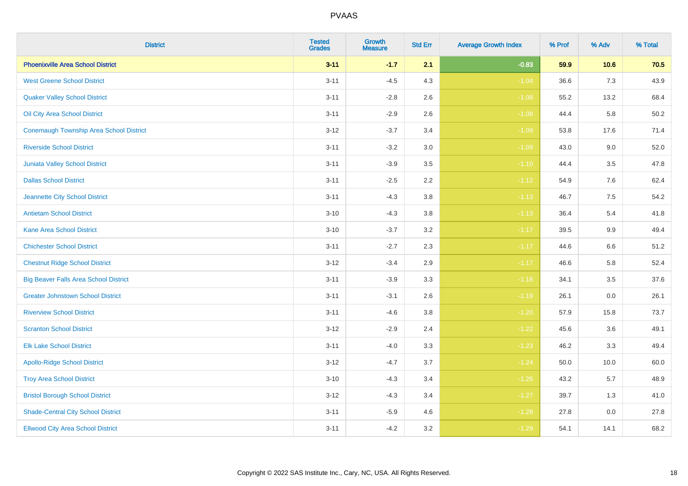| <b>District</b>                                | <b>Tested</b><br><b>Grades</b> | <b>Growth</b><br><b>Measure</b> | <b>Std Err</b> | <b>Average Growth Index</b> | % Prof | % Adv   | % Total |
|------------------------------------------------|--------------------------------|---------------------------------|----------------|-----------------------------|--------|---------|---------|
| <b>Phoenixville Area School District</b>       | $3 - 11$                       | $-1.7$                          | 2.1            | $-0.83$                     | 59.9   | 10.6    | 70.5    |
| <b>West Greene School District</b>             | $3 - 11$                       | $-4.5$                          | 4.3            | $-1.04$                     | 36.6   | 7.3     | 43.9    |
| <b>Quaker Valley School District</b>           | $3 - 11$                       | $-2.8$                          | 2.6            | $-1.08$                     | 55.2   | 13.2    | 68.4    |
| Oil City Area School District                  | $3 - 11$                       | $-2.9$                          | 2.6            | $-1.08$                     | 44.4   | 5.8     | 50.2    |
| <b>Conemaugh Township Area School District</b> | $3 - 12$                       | $-3.7$                          | 3.4            | $-1.09$                     | 53.8   | 17.6    | 71.4    |
| <b>Riverside School District</b>               | $3 - 11$                       | $-3.2$                          | 3.0            | $-1.09$                     | 43.0   | 9.0     | 52.0    |
| Juniata Valley School District                 | $3 - 11$                       | $-3.9$                          | 3.5            | $-1.10$                     | 44.4   | 3.5     | 47.8    |
| <b>Dallas School District</b>                  | $3 - 11$                       | $-2.5$                          | 2.2            | $-1.12$                     | 54.9   | 7.6     | 62.4    |
| Jeannette City School District                 | $3 - 11$                       | $-4.3$                          | 3.8            | $-1.13$                     | 46.7   | 7.5     | 54.2    |
| <b>Antietam School District</b>                | $3 - 10$                       | $-4.3$                          | 3.8            | $-1.13$                     | 36.4   | 5.4     | 41.8    |
| <b>Kane Area School District</b>               | $3 - 10$                       | $-3.7$                          | 3.2            | $-1.17$                     | 39.5   | 9.9     | 49.4    |
| <b>Chichester School District</b>              | $3 - 11$                       | $-2.7$                          | 2.3            | $-1.17$                     | 44.6   | $6.6\,$ | 51.2    |
| <b>Chestnut Ridge School District</b>          | $3 - 12$                       | $-3.4$                          | $2.9\,$        | $-1.17$                     | 46.6   | 5.8     | 52.4    |
| <b>Big Beaver Falls Area School District</b>   | $3 - 11$                       | $-3.9$                          | 3.3            | $-1.18$                     | 34.1   | 3.5     | 37.6    |
| <b>Greater Johnstown School District</b>       | $3 - 11$                       | $-3.1$                          | 2.6            | $-1.19$                     | 26.1   | 0.0     | 26.1    |
| <b>Riverview School District</b>               | $3 - 11$                       | $-4.6$                          | 3.8            | $-1.20$                     | 57.9   | 15.8    | 73.7    |
| <b>Scranton School District</b>                | $3 - 12$                       | $-2.9$                          | 2.4            | $-1.22$                     | 45.6   | 3.6     | 49.1    |
| <b>Elk Lake School District</b>                | $3 - 11$                       | $-4.0$                          | 3.3            | $-1.23$                     | 46.2   | 3.3     | 49.4    |
| <b>Apollo-Ridge School District</b>            | $3 - 12$                       | $-4.7$                          | 3.7            | $-1.24$                     | 50.0   | 10.0    | 60.0    |
| <b>Troy Area School District</b>               | $3 - 10$                       | $-4.3$                          | 3.4            | $-1.26$                     | 43.2   | 5.7     | 48.9    |
| <b>Bristol Borough School District</b>         | $3 - 12$                       | $-4.3$                          | 3.4            | $-1.27$                     | 39.7   | 1.3     | 41.0    |
| <b>Shade-Central City School District</b>      | $3 - 11$                       | $-5.9$                          | 4.6            | $-1.28$                     | 27.8   | 0.0     | 27.8    |
| <b>Ellwood City Area School District</b>       | $3 - 11$                       | $-4.2$                          | 3.2            | $-1.29$                     | 54.1   | 14.1    | 68.2    |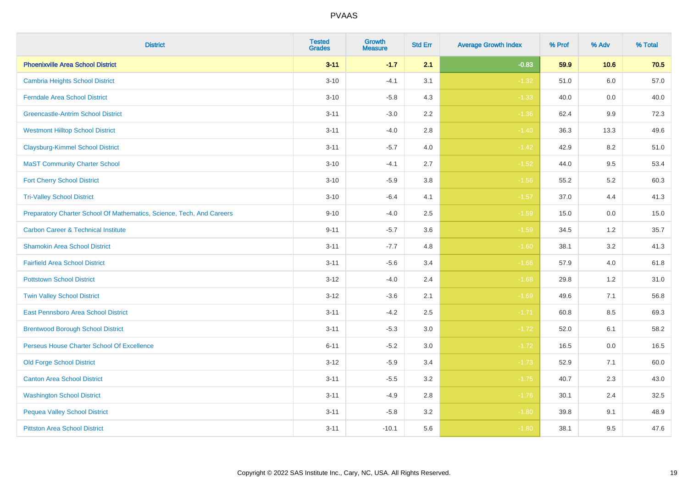| <b>District</b>                                                       | <b>Tested</b><br><b>Grades</b> | Growth<br><b>Measure</b> | <b>Std Err</b> | <b>Average Growth Index</b> | % Prof | % Adv   | % Total |
|-----------------------------------------------------------------------|--------------------------------|--------------------------|----------------|-----------------------------|--------|---------|---------|
| <b>Phoenixville Area School District</b>                              | $3 - 11$                       | $-1.7$                   | 2.1            | $-0.83$                     | 59.9   | 10.6    | 70.5    |
| <b>Cambria Heights School District</b>                                | $3 - 10$                       | $-4.1$                   | 3.1            | $-1.32$                     | 51.0   | 6.0     | 57.0    |
| <b>Ferndale Area School District</b>                                  | $3 - 10$                       | $-5.8$                   | 4.3            | $-1.33$                     | 40.0   | 0.0     | 40.0    |
| <b>Greencastle-Antrim School District</b>                             | $3 - 11$                       | $-3.0$                   | $2.2\,$        | $-1.36$                     | 62.4   | 9.9     | 72.3    |
| <b>Westmont Hilltop School District</b>                               | $3 - 11$                       | $-4.0$                   | 2.8            | $-1.40$                     | 36.3   | 13.3    | 49.6    |
| <b>Claysburg-Kimmel School District</b>                               | $3 - 11$                       | $-5.7$                   | 4.0            | $-1.42$                     | 42.9   | 8.2     | 51.0    |
| <b>MaST Community Charter School</b>                                  | $3 - 10$                       | $-4.1$                   | 2.7            | $-1.52$                     | 44.0   | 9.5     | 53.4    |
| <b>Fort Cherry School District</b>                                    | $3 - 10$                       | $-5.9$                   | 3.8            | $-1.56$                     | 55.2   | 5.2     | 60.3    |
| <b>Tri-Valley School District</b>                                     | $3 - 10$                       | $-6.4$                   | 4.1            | $-1.57$                     | 37.0   | 4.4     | 41.3    |
| Preparatory Charter School Of Mathematics, Science, Tech, And Careers | $9 - 10$                       | $-4.0$                   | $2.5\,$        | $-1.59$                     | 15.0   | $0.0\,$ | 15.0    |
| <b>Carbon Career &amp; Technical Institute</b>                        | $9 - 11$                       | $-5.7$                   | 3.6            | $-1.59$                     | 34.5   | 1.2     | 35.7    |
| <b>Shamokin Area School District</b>                                  | $3 - 11$                       | $-7.7$                   | 4.8            | $-1.60$                     | 38.1   | 3.2     | 41.3    |
| <b>Fairfield Area School District</b>                                 | $3 - 11$                       | $-5.6$                   | 3.4            | $-1.66$                     | 57.9   | 4.0     | 61.8    |
| <b>Pottstown School District</b>                                      | $3 - 12$                       | $-4.0$                   | 2.4            | $-1.68$                     | 29.8   | $1.2$   | 31.0    |
| <b>Twin Valley School District</b>                                    | $3 - 12$                       | $-3.6$                   | 2.1            | $-1.69$                     | 49.6   | 7.1     | 56.8    |
| <b>East Pennsboro Area School District</b>                            | $3 - 11$                       | $-4.2$                   | 2.5            | $-1.71$                     | 60.8   | 8.5     | 69.3    |
| <b>Brentwood Borough School District</b>                              | $3 - 11$                       | $-5.3$                   | 3.0            | $-1.72$                     | 52.0   | 6.1     | 58.2    |
| Perseus House Charter School Of Excellence                            | $6 - 11$                       | $-5.2$                   | 3.0            | $-1.72$                     | 16.5   | 0.0     | 16.5    |
| <b>Old Forge School District</b>                                      | $3 - 12$                       | $-5.9$                   | 3.4            | $-1.73$                     | 52.9   | 7.1     | 60.0    |
| <b>Canton Area School District</b>                                    | $3 - 11$                       | $-5.5$                   | 3.2            | $-1.75$                     | 40.7   | 2.3     | 43.0    |
| <b>Washington School District</b>                                     | $3 - 11$                       | $-4.9$                   | $2.8\,$        | $-1.76$                     | 30.1   | 2.4     | 32.5    |
| <b>Pequea Valley School District</b>                                  | $3 - 11$                       | $-5.8$                   | 3.2            | $-1.80$                     | 39.8   | 9.1     | 48.9    |
| <b>Pittston Area School District</b>                                  | $3 - 11$                       | $-10.1$                  | 5.6            | $-1.80$                     | 38.1   | 9.5     | 47.6    |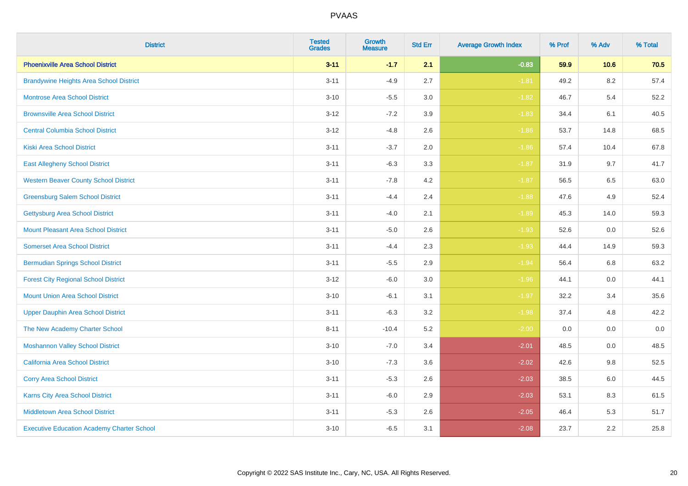| <b>District</b>                                   | <b>Tested</b><br><b>Grades</b> | Growth<br><b>Measure</b> | <b>Std Err</b> | <b>Average Growth Index</b> | % Prof | % Adv   | % Total |
|---------------------------------------------------|--------------------------------|--------------------------|----------------|-----------------------------|--------|---------|---------|
| <b>Phoenixville Area School District</b>          | $3 - 11$                       | $-1.7$                   | 2.1            | $-0.83$                     | 59.9   | 10.6    | 70.5    |
| <b>Brandywine Heights Area School District</b>    | $3 - 11$                       | $-4.9$                   | 2.7            | $-1.81$                     | 49.2   | 8.2     | 57.4    |
| <b>Montrose Area School District</b>              | $3 - 10$                       | $-5.5$                   | 3.0            | $-1.82$                     | 46.7   | 5.4     | 52.2    |
| <b>Brownsville Area School District</b>           | $3 - 12$                       | $-7.2$                   | 3.9            | $-1.83$                     | 34.4   | 6.1     | 40.5    |
| <b>Central Columbia School District</b>           | $3 - 12$                       | $-4.8$                   | 2.6            | $-1.86$                     | 53.7   | 14.8    | 68.5    |
| <b>Kiski Area School District</b>                 | $3 - 11$                       | $-3.7$                   | 2.0            | $-1.86$                     | 57.4   | 10.4    | 67.8    |
| <b>East Allegheny School District</b>             | $3 - 11$                       | $-6.3$                   | 3.3            | $-1.87$                     | 31.9   | 9.7     | 41.7    |
| <b>Western Beaver County School District</b>      | $3 - 11$                       | $-7.8$                   | 4.2            | $-1.87$                     | 56.5   | 6.5     | 63.0    |
| <b>Greensburg Salem School District</b>           | $3 - 11$                       | $-4.4$                   | 2.4            | $-1.88$                     | 47.6   | 4.9     | 52.4    |
| <b>Gettysburg Area School District</b>            | $3 - 11$                       | $-4.0$                   | 2.1            | $-1.89$                     | 45.3   | 14.0    | 59.3    |
| <b>Mount Pleasant Area School District</b>        | $3 - 11$                       | $-5.0$                   | 2.6            | $-1.93$                     | 52.6   | 0.0     | 52.6    |
| <b>Somerset Area School District</b>              | $3 - 11$                       | $-4.4$                   | 2.3            | $-1.93$                     | 44.4   | 14.9    | 59.3    |
| <b>Bermudian Springs School District</b>          | $3 - 11$                       | $-5.5$                   | 2.9            | $-1.94$                     | 56.4   | $6.8\,$ | 63.2    |
| <b>Forest City Regional School District</b>       | $3 - 12$                       | $-6.0$                   | 3.0            | $-1.96$                     | 44.1   | 0.0     | 44.1    |
| <b>Mount Union Area School District</b>           | $3 - 10$                       | $-6.1$                   | 3.1            | $-1.97$                     | 32.2   | 3.4     | 35.6    |
| <b>Upper Dauphin Area School District</b>         | $3 - 11$                       | $-6.3$                   | 3.2            | $-1.98$                     | 37.4   | 4.8     | 42.2    |
| The New Academy Charter School                    | $8 - 11$                       | $-10.4$                  | 5.2            | $-2.00$                     | 0.0    | 0.0     | $0.0\,$ |
| <b>Moshannon Valley School District</b>           | $3 - 10$                       | $-7.0$                   | 3.4            | $-2.01$                     | 48.5   | 0.0     | 48.5    |
| <b>California Area School District</b>            | $3 - 10$                       | $-7.3$                   | 3.6            | $-2.02$                     | 42.6   | 9.8     | 52.5    |
| <b>Corry Area School District</b>                 | $3 - 11$                       | $-5.3$                   | 2.6            | $-2.03$                     | 38.5   | 6.0     | 44.5    |
| <b>Karns City Area School District</b>            | $3 - 11$                       | $-6.0$                   | 2.9            | $-2.03$                     | 53.1   | 8.3     | 61.5    |
| <b>Middletown Area School District</b>            | $3 - 11$                       | $-5.3$                   | 2.6            | $-2.05$                     | 46.4   | 5.3     | 51.7    |
| <b>Executive Education Academy Charter School</b> | $3 - 10$                       | $-6.5$                   | 3.1            | $-2.08$                     | 23.7   | 2.2     | 25.8    |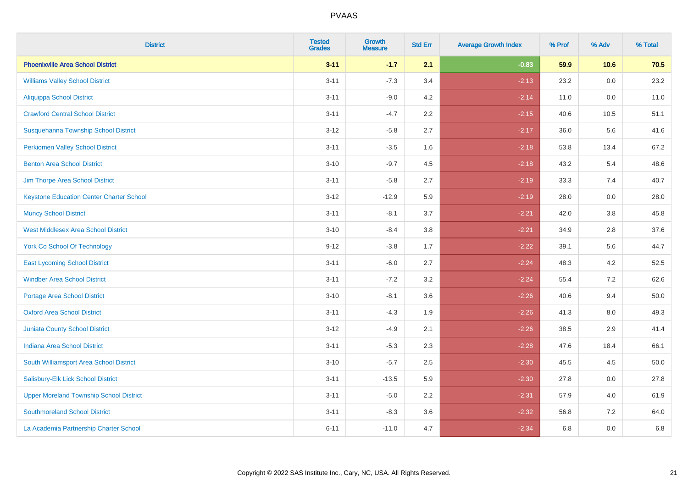| <b>District</b>                                 | <b>Tested</b><br><b>Grades</b> | <b>Growth</b><br><b>Measure</b> | <b>Std Err</b> | <b>Average Growth Index</b> | % Prof | % Adv   | % Total |
|-------------------------------------------------|--------------------------------|---------------------------------|----------------|-----------------------------|--------|---------|---------|
| <b>Phoenixville Area School District</b>        | $3 - 11$                       | $-1.7$                          | 2.1            | $-0.83$                     | 59.9   | 10.6    | 70.5    |
| <b>Williams Valley School District</b>          | $3 - 11$                       | $-7.3$                          | 3.4            | $-2.13$                     | 23.2   | 0.0     | 23.2    |
| <b>Aliquippa School District</b>                | $3 - 11$                       | $-9.0$                          | 4.2            | $-2.14$                     | 11.0   | 0.0     | 11.0    |
| <b>Crawford Central School District</b>         | $3 - 11$                       | $-4.7$                          | 2.2            | $-2.15$                     | 40.6   | 10.5    | 51.1    |
| Susquehanna Township School District            | $3 - 12$                       | $-5.8$                          | 2.7            | $-2.17$                     | 36.0   | 5.6     | 41.6    |
| <b>Perkiomen Valley School District</b>         | $3 - 11$                       | $-3.5$                          | 1.6            | $-2.18$                     | 53.8   | 13.4    | 67.2    |
| <b>Benton Area School District</b>              | $3 - 10$                       | $-9.7$                          | 4.5            | $-2.18$                     | 43.2   | 5.4     | 48.6    |
| Jim Thorpe Area School District                 | $3 - 11$                       | $-5.8$                          | 2.7            | $-2.19$                     | 33.3   | 7.4     | 40.7    |
| <b>Keystone Education Center Charter School</b> | $3 - 12$                       | $-12.9$                         | 5.9            | $-2.19$                     | 28.0   | 0.0     | 28.0    |
| <b>Muncy School District</b>                    | $3 - 11$                       | $-8.1$                          | 3.7            | $-2.21$                     | 42.0   | 3.8     | 45.8    |
| <b>West Middlesex Area School District</b>      | $3 - 10$                       | $-8.4$                          | 3.8            | $-2.21$                     | 34.9   | 2.8     | 37.6    |
| <b>York Co School Of Technology</b>             | $9 - 12$                       | $-3.8$                          | 1.7            | $-2.22$                     | 39.1   | 5.6     | 44.7    |
| <b>East Lycoming School District</b>            | $3 - 11$                       | $-6.0$                          | 2.7            | $-2.24$                     | 48.3   | 4.2     | 52.5    |
| <b>Windber Area School District</b>             | $3 - 11$                       | $-7.2$                          | 3.2            | $-2.24$                     | 55.4   | 7.2     | 62.6    |
| <b>Portage Area School District</b>             | $3 - 10$                       | $-8.1$                          | 3.6            | $-2.26$                     | 40.6   | 9.4     | 50.0    |
| <b>Oxford Area School District</b>              | $3 - 11$                       | $-4.3$                          | 1.9            | $-2.26$                     | 41.3   | $8.0\,$ | 49.3    |
| <b>Juniata County School District</b>           | $3 - 12$                       | $-4.9$                          | 2.1            | $-2.26$                     | 38.5   | 2.9     | 41.4    |
| <b>Indiana Area School District</b>             | $3 - 11$                       | $-5.3$                          | 2.3            | $-2.28$                     | 47.6   | 18.4    | 66.1    |
| South Williamsport Area School District         | $3 - 10$                       | $-5.7$                          | 2.5            | $-2.30$                     | 45.5   | 4.5     | 50.0    |
| Salisbury-Elk Lick School District              | $3 - 11$                       | $-13.5$                         | 5.9            | $-2.30$                     | 27.8   | 0.0     | 27.8    |
| <b>Upper Moreland Township School District</b>  | $3 - 11$                       | $-5.0$                          | 2.2            | $-2.31$                     | 57.9   | 4.0     | 61.9    |
| <b>Southmoreland School District</b>            | $3 - 11$                       | $-8.3$                          | 3.6            | $-2.32$                     | 56.8   | 7.2     | 64.0    |
| La Academia Partnership Charter School          | $6 - 11$                       | $-11.0$                         | 4.7            | $-2.34$                     | 6.8    | 0.0     | 6.8     |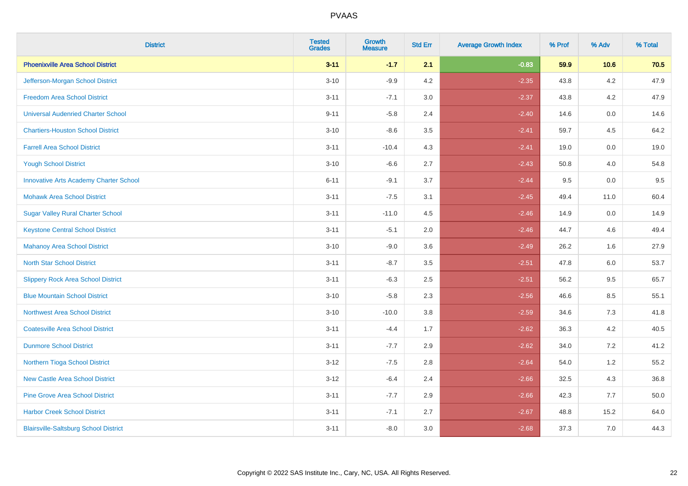| <b>District</b>                               | <b>Tested</b><br><b>Grades</b> | <b>Growth</b><br><b>Measure</b> | <b>Std Err</b> | <b>Average Growth Index</b> | % Prof | % Adv   | % Total |
|-----------------------------------------------|--------------------------------|---------------------------------|----------------|-----------------------------|--------|---------|---------|
| <b>Phoenixville Area School District</b>      | $3 - 11$                       | $-1.7$                          | 2.1            | $-0.83$                     | 59.9   | 10.6    | 70.5    |
| Jefferson-Morgan School District              | $3 - 10$                       | $-9.9$                          | 4.2            | $-2.35$                     | 43.8   | $4.2\,$ | 47.9    |
| <b>Freedom Area School District</b>           | $3 - 11$                       | $-7.1$                          | 3.0            | $-2.37$                     | 43.8   | 4.2     | 47.9    |
| <b>Universal Audenried Charter School</b>     | $9 - 11$                       | $-5.8$                          | 2.4            | $-2.40$                     | 14.6   | 0.0     | 14.6    |
| <b>Chartiers-Houston School District</b>      | $3 - 10$                       | $-8.6$                          | 3.5            | $-2.41$                     | 59.7   | 4.5     | 64.2    |
| <b>Farrell Area School District</b>           | $3 - 11$                       | $-10.4$                         | 4.3            | $-2.41$                     | 19.0   | 0.0     | 19.0    |
| <b>Yough School District</b>                  | $3 - 10$                       | $-6.6$                          | 2.7            | $-2.43$                     | 50.8   | 4.0     | 54.8    |
| <b>Innovative Arts Academy Charter School</b> | $6 - 11$                       | $-9.1$                          | 3.7            | $-2.44$                     | 9.5    | 0.0     | 9.5     |
| <b>Mohawk Area School District</b>            | $3 - 11$                       | $-7.5$                          | 3.1            | $-2.45$                     | 49.4   | 11.0    | 60.4    |
| <b>Sugar Valley Rural Charter School</b>      | $3 - 11$                       | $-11.0$                         | 4.5            | $-2.46$                     | 14.9   | 0.0     | 14.9    |
| <b>Keystone Central School District</b>       | $3 - 11$                       | $-5.1$                          | 2.0            | $-2.46$                     | 44.7   | 4.6     | 49.4    |
| <b>Mahanoy Area School District</b>           | $3 - 10$                       | $-9.0$                          | 3.6            | $-2.49$                     | 26.2   | 1.6     | 27.9    |
| <b>North Star School District</b>             | $3 - 11$                       | $-8.7$                          | 3.5            | $-2.51$                     | 47.8   | 6.0     | 53.7    |
| <b>Slippery Rock Area School District</b>     | $3 - 11$                       | $-6.3$                          | 2.5            | $-2.51$                     | 56.2   | 9.5     | 65.7    |
| <b>Blue Mountain School District</b>          | $3 - 10$                       | $-5.8$                          | 2.3            | $-2.56$                     | 46.6   | 8.5     | 55.1    |
| <b>Northwest Area School District</b>         | $3 - 10$                       | $-10.0$                         | 3.8            | $-2.59$                     | 34.6   | 7.3     | 41.8    |
| <b>Coatesville Area School District</b>       | $3 - 11$                       | $-4.4$                          | 1.7            | $-2.62$                     | 36.3   | 4.2     | 40.5    |
| <b>Dunmore School District</b>                | $3 - 11$                       | $-7.7$                          | 2.9            | $-2.62$                     | 34.0   | 7.2     | 41.2    |
| Northern Tioga School District                | $3 - 12$                       | $-7.5$                          | 2.8            | $-2.64$                     | 54.0   | 1.2     | 55.2    |
| <b>New Castle Area School District</b>        | $3 - 12$                       | $-6.4$                          | 2.4            | $-2.66$                     | 32.5   | 4.3     | 36.8    |
| <b>Pine Grove Area School District</b>        | $3 - 11$                       | $-7.7$                          | 2.9            | $-2.66$                     | 42.3   | 7.7     | 50.0    |
| <b>Harbor Creek School District</b>           | $3 - 11$                       | $-7.1$                          | 2.7            | $-2.67$                     | 48.8   | 15.2    | 64.0    |
| <b>Blairsville-Saltsburg School District</b>  | $3 - 11$                       | $-8.0$                          | 3.0            | $-2.68$                     | 37.3   | 7.0     | 44.3    |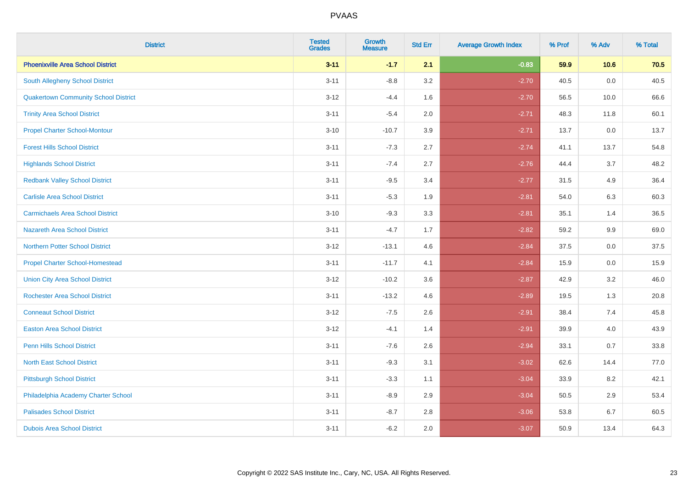| <b>District</b>                             | <b>Tested</b><br><b>Grades</b> | <b>Growth</b><br><b>Measure</b> | <b>Std Err</b> | <b>Average Growth Index</b> | % Prof | % Adv | % Total |
|---------------------------------------------|--------------------------------|---------------------------------|----------------|-----------------------------|--------|-------|---------|
| <b>Phoenixville Area School District</b>    | $3 - 11$                       | $-1.7$                          | 2.1            | $-0.83$                     | 59.9   | 10.6  | 70.5    |
| <b>South Allegheny School District</b>      | $3 - 11$                       | $-8.8$                          | 3.2            | $-2.70$                     | 40.5   | 0.0   | 40.5    |
| <b>Quakertown Community School District</b> | $3 - 12$                       | $-4.4$                          | 1.6            | $-2.70$                     | 56.5   | 10.0  | 66.6    |
| <b>Trinity Area School District</b>         | $3 - 11$                       | $-5.4$                          | 2.0            | $-2.71$                     | 48.3   | 11.8  | 60.1    |
| <b>Propel Charter School-Montour</b>        | $3 - 10$                       | $-10.7$                         | 3.9            | $-2.71$                     | 13.7   | 0.0   | 13.7    |
| <b>Forest Hills School District</b>         | $3 - 11$                       | $-7.3$                          | 2.7            | $-2.74$                     | 41.1   | 13.7  | 54.8    |
| <b>Highlands School District</b>            | $3 - 11$                       | $-7.4$                          | 2.7            | $-2.76$                     | 44.4   | 3.7   | 48.2    |
| <b>Redbank Valley School District</b>       | $3 - 11$                       | $-9.5$                          | 3.4            | $-2.77$                     | 31.5   | 4.9   | 36.4    |
| <b>Carlisle Area School District</b>        | $3 - 11$                       | $-5.3$                          | 1.9            | $-2.81$                     | 54.0   | 6.3   | 60.3    |
| <b>Carmichaels Area School District</b>     | $3 - 10$                       | $-9.3$                          | 3.3            | $-2.81$                     | 35.1   | 1.4   | 36.5    |
| <b>Nazareth Area School District</b>        | $3 - 11$                       | $-4.7$                          | 1.7            | $-2.82$                     | 59.2   | 9.9   | 69.0    |
| <b>Northern Potter School District</b>      | $3-12$                         | $-13.1$                         | 4.6            | $-2.84$                     | 37.5   | 0.0   | 37.5    |
| <b>Propel Charter School-Homestead</b>      | $3 - 11$                       | $-11.7$                         | 4.1            | $-2.84$                     | 15.9   | 0.0   | 15.9    |
| <b>Union City Area School District</b>      | $3 - 12$                       | $-10.2$                         | 3.6            | $-2.87$                     | 42.9   | 3.2   | 46.0    |
| <b>Rochester Area School District</b>       | $3 - 11$                       | $-13.2$                         | 4.6            | $-2.89$                     | 19.5   | 1.3   | 20.8    |
| <b>Conneaut School District</b>             | $3 - 12$                       | $-7.5$                          | 2.6            | $-2.91$                     | 38.4   | 7.4   | 45.8    |
| <b>Easton Area School District</b>          | $3 - 12$                       | $-4.1$                          | 1.4            | $-2.91$                     | 39.9   | 4.0   | 43.9    |
| <b>Penn Hills School District</b>           | $3 - 11$                       | $-7.6$                          | 2.6            | $-2.94$                     | 33.1   | 0.7   | 33.8    |
| <b>North East School District</b>           | $3 - 11$                       | $-9.3$                          | 3.1            | $-3.02$                     | 62.6   | 14.4  | 77.0    |
| <b>Pittsburgh School District</b>           | $3 - 11$                       | $-3.3$                          | 1.1            | $-3.04$                     | 33.9   | 8.2   | 42.1    |
| Philadelphia Academy Charter School         | $3 - 11$                       | $-8.9$                          | 2.9            | $-3.04$                     | 50.5   | 2.9   | 53.4    |
| <b>Palisades School District</b>            | $3 - 11$                       | $-8.7$                          | 2.8            | $-3.06$                     | 53.8   | 6.7   | 60.5    |
| <b>Dubois Area School District</b>          | $3 - 11$                       | $-6.2$                          | 2.0            | $-3.07$                     | 50.9   | 13.4  | 64.3    |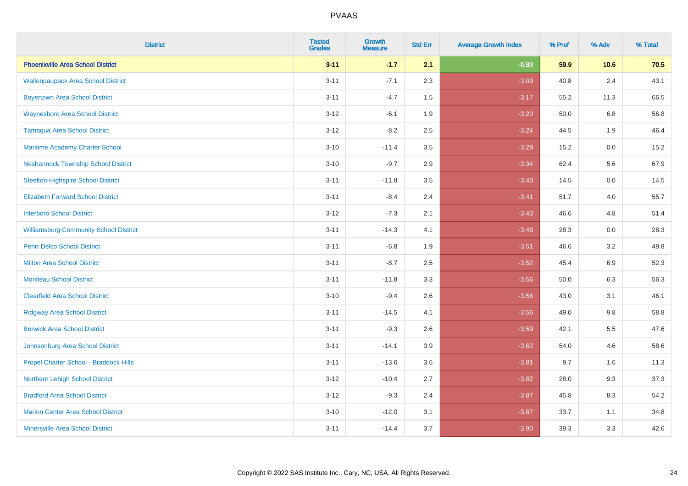| <b>District</b>                               | <b>Tested</b><br><b>Grades</b> | <b>Growth</b><br><b>Measure</b> | <b>Std Err</b> | <b>Average Growth Index</b> | % Prof | % Adv   | % Total |
|-----------------------------------------------|--------------------------------|---------------------------------|----------------|-----------------------------|--------|---------|---------|
| <b>Phoenixville Area School District</b>      | $3 - 11$                       | $-1.7$                          | 2.1            | $-0.83$                     | 59.9   | 10.6    | 70.5    |
| <b>Wallenpaupack Area School District</b>     | $3 - 11$                       | $-7.1$                          | 2.3            | $-3.09$                     | 40.8   | 2.4     | 43.1    |
| <b>Boyertown Area School District</b>         | $3 - 11$                       | $-4.7$                          | 1.5            | $-3.17$                     | 55.2   | 11.3    | 66.5    |
| <b>Waynesboro Area School District</b>        | $3 - 12$                       | $-6.1$                          | 1.9            | $-3.20$                     | 50.0   | 6.8     | 56.8    |
| <b>Tamaqua Area School District</b>           | $3 - 12$                       | $-8.2$                          | 2.5            | $-3.24$                     | 44.5   | 1.9     | 46.4    |
| Maritime Academy Charter School               | $3 - 10$                       | $-11.4$                         | 3.5            | $-3.29$                     | 15.2   | 0.0     | 15.2    |
| <b>Neshannock Township School District</b>    | $3 - 10$                       | $-9.7$                          | 2.9            | $-3.34$                     | 62.4   | 5.6     | 67.9    |
| <b>Steelton-Highspire School District</b>     | $3 - 11$                       | $-11.8$                         | 3.5            | $-3.40$                     | 14.5   | 0.0     | 14.5    |
| <b>Elizabeth Forward School District</b>      | $3 - 11$                       | $-8.4$                          | 2.4            | $-3.41$                     | 51.7   | 4.0     | 55.7    |
| <b>Interboro School District</b>              | $3 - 12$                       | $-7.3$                          | 2.1            | $-3.43$                     | 46.6   | 4.8     | 51.4    |
| <b>Williamsburg Community School District</b> | $3 - 11$                       | $-14.3$                         | 4.1            | $-3.48$                     | 28.3   | 0.0     | 28.3    |
| <b>Penn-Delco School District</b>             | $3 - 11$                       | $-6.8$                          | 1.9            | $-3.51$                     | 46.6   | 3.2     | 49.8    |
| <b>Milton Area School District</b>            | $3 - 11$                       | $-8.7$                          | 2.5            | $-3.52$                     | 45.4   | $6.9\,$ | 52.3    |
| <b>Moniteau School District</b>               | $3 - 11$                       | $-11.8$                         | 3.3            | $-3.56$                     | 50.0   | 6.3     | 56.3    |
| <b>Clearfield Area School District</b>        | $3 - 10$                       | $-9.4$                          | 2.6            | $-3.56$                     | 43.0   | 3.1     | 46.1    |
| <b>Ridgway Area School District</b>           | $3 - 11$                       | $-14.5$                         | 4.1            | $-3.56$                     | 49.0   | $9.8\,$ | 58.8    |
| <b>Berwick Area School District</b>           | $3 - 11$                       | $-9.3$                          | 2.6            | $-3.59$                     | 42.1   | 5.5     | 47.6    |
| Johnsonburg Area School District              | $3 - 11$                       | $-14.1$                         | 3.9            | $-3.62$                     | 54.0   | 4.6     | 58.6    |
| Propel Charter School - Braddock Hills        | $3 - 11$                       | $-13.6$                         | 3.6            | $-3.81$                     | 9.7    | 1.6     | 11.3    |
| Northern Lehigh School District               | $3 - 12$                       | $-10.4$                         | 2.7            | $-3.82$                     | 28.0   | 9.3     | 37.3    |
| <b>Bradford Area School District</b>          | $3 - 12$                       | $-9.3$                          | 2.4            | $-3.87$                     | 45.8   | 8.3     | 54.2    |
| <b>Marion Center Area School District</b>     | $3 - 10$                       | $-12.0$                         | 3.1            | $-3.87$                     | 33.7   | 1.1     | 34.8    |
| <b>Minersville Area School District</b>       | $3 - 11$                       | $-14.4$                         | 3.7            | $-3.90$                     | 39.3   | 3.3     | 42.6    |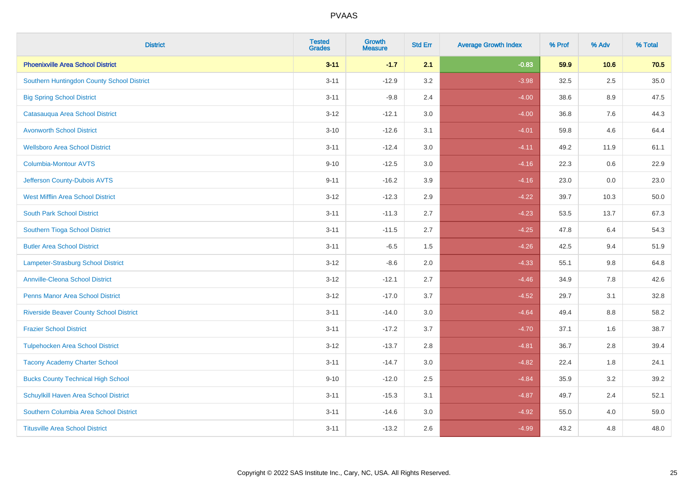| <b>District</b>                                | <b>Tested</b><br><b>Grades</b> | <b>Growth</b><br><b>Measure</b> | <b>Std Err</b> | <b>Average Growth Index</b> | % Prof | % Adv   | % Total |
|------------------------------------------------|--------------------------------|---------------------------------|----------------|-----------------------------|--------|---------|---------|
| <b>Phoenixville Area School District</b>       | $3 - 11$                       | $-1.7$                          | 2.1            | $-0.83$                     | 59.9   | 10.6    | 70.5    |
| Southern Huntingdon County School District     | $3 - 11$                       | $-12.9$                         | 3.2            | $-3.98$                     | 32.5   | 2.5     | 35.0    |
| <b>Big Spring School District</b>              | $3 - 11$                       | $-9.8$                          | 2.4            | $-4.00$                     | 38.6   | 8.9     | 47.5    |
| Catasauqua Area School District                | $3 - 12$                       | $-12.1$                         | 3.0            | $-4.00$                     | 36.8   | $7.6\,$ | 44.3    |
| <b>Avonworth School District</b>               | $3 - 10$                       | $-12.6$                         | 3.1            | $-4.01$                     | 59.8   | 4.6     | 64.4    |
| <b>Wellsboro Area School District</b>          | $3 - 11$                       | $-12.4$                         | 3.0            | $-4.11$                     | 49.2   | 11.9    | 61.1    |
| <b>Columbia-Montour AVTS</b>                   | $9 - 10$                       | $-12.5$                         | 3.0            | $-4.16$                     | 22.3   | 0.6     | 22.9    |
| Jefferson County-Dubois AVTS                   | $9 - 11$                       | $-16.2$                         | 3.9            | $-4.16$                     | 23.0   | 0.0     | 23.0    |
| <b>West Mifflin Area School District</b>       | $3 - 12$                       | $-12.3$                         | 2.9            | $-4.22$                     | 39.7   | 10.3    | 50.0    |
| <b>South Park School District</b>              | $3 - 11$                       | $-11.3$                         | 2.7            | $-4.23$                     | 53.5   | 13.7    | 67.3    |
| Southern Tioga School District                 | $3 - 11$                       | $-11.5$                         | 2.7            | $-4.25$                     | 47.8   | 6.4     | 54.3    |
| <b>Butler Area School District</b>             | $3 - 11$                       | $-6.5$                          | 1.5            | $-4.26$                     | 42.5   | 9.4     | 51.9    |
| <b>Lampeter-Strasburg School District</b>      | $3 - 12$                       | $-8.6$                          | 2.0            | $-4.33$                     | 55.1   | 9.8     | 64.8    |
| <b>Annville-Cleona School District</b>         | $3 - 12$                       | $-12.1$                         | 2.7            | $-4.46$                     | 34.9   | $7.8\,$ | 42.6    |
| <b>Penns Manor Area School District</b>        | $3 - 12$                       | $-17.0$                         | 3.7            | $-4.52$                     | 29.7   | 3.1     | 32.8    |
| <b>Riverside Beaver County School District</b> | $3 - 11$                       | $-14.0$                         | 3.0            | $-4.64$                     | 49.4   | 8.8     | 58.2    |
| <b>Frazier School District</b>                 | $3 - 11$                       | $-17.2$                         | 3.7            | $-4.70$                     | 37.1   | 1.6     | 38.7    |
| <b>Tulpehocken Area School District</b>        | $3 - 12$                       | $-13.7$                         | 2.8            | $-4.81$                     | 36.7   | 2.8     | 39.4    |
| <b>Tacony Academy Charter School</b>           | $3 - 11$                       | $-14.7$                         | 3.0            | $-4.82$                     | 22.4   | 1.8     | 24.1    |
| <b>Bucks County Technical High School</b>      | $9 - 10$                       | $-12.0$                         | 2.5            | $-4.84$                     | 35.9   | 3.2     | 39.2    |
| Schuylkill Haven Area School District          | $3 - 11$                       | $-15.3$                         | 3.1            | $-4.87$                     | 49.7   | 2.4     | 52.1    |
| Southern Columbia Area School District         | $3 - 11$                       | $-14.6$                         | 3.0            | $-4.92$                     | 55.0   | 4.0     | 59.0    |
| <b>Titusville Area School District</b>         | $3 - 11$                       | $-13.2$                         | 2.6            | $-4.99$                     | 43.2   | 4.8     | 48.0    |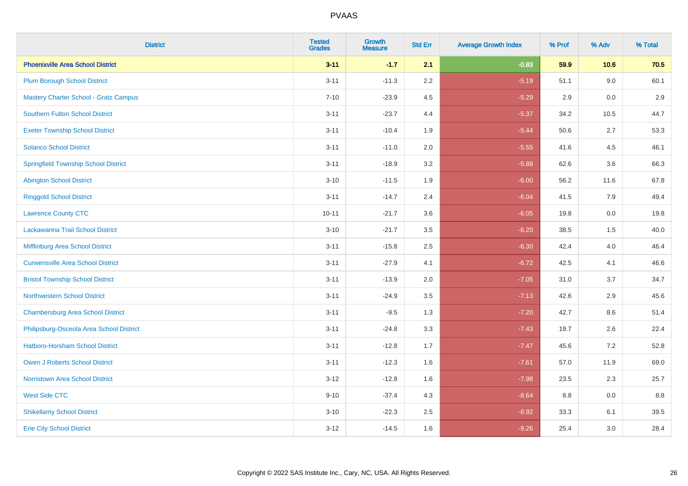| <b>District</b>                              | <b>Tested</b><br><b>Grades</b> | <b>Growth</b><br><b>Measure</b> | <b>Std Err</b> | <b>Average Growth Index</b> | % Prof | % Adv   | % Total |
|----------------------------------------------|--------------------------------|---------------------------------|----------------|-----------------------------|--------|---------|---------|
| <b>Phoenixville Area School District</b>     | $3 - 11$                       | $-1.7$                          | 2.1            | $-0.83$                     | 59.9   | 10.6    | 70.5    |
| <b>Plum Borough School District</b>          | $3 - 11$                       | $-11.3$                         | 2.2            | $-5.19$                     | 51.1   | 9.0     | 60.1    |
| <b>Mastery Charter School - Gratz Campus</b> | $7 - 10$                       | $-23.9$                         | 4.5            | $-5.29$                     | 2.9    | 0.0     | 2.9     |
| <b>Southern Fulton School District</b>       | $3 - 11$                       | $-23.7$                         | 4.4            | $-5.37$                     | 34.2   | 10.5    | 44.7    |
| <b>Exeter Township School District</b>       | $3 - 11$                       | $-10.4$                         | 1.9            | $-5.44$                     | 50.6   | 2.7     | 53.3    |
| <b>Solanco School District</b>               | $3 - 11$                       | $-11.0$                         | 2.0            | $-5.55$                     | 41.6   | 4.5     | 46.1    |
| <b>Springfield Township School District</b>  | $3 - 11$                       | $-18.9$                         | 3.2            | $-5.88$                     | 62.6   | 3.6     | 66.3    |
| <b>Abington School District</b>              | $3 - 10$                       | $-11.5$                         | 1.9            | $-6.00$                     | 56.2   | 11.6    | 67.8    |
| <b>Ringgold School District</b>              | $3 - 11$                       | $-14.7$                         | 2.4            | $-6.04$                     | 41.5   | 7.9     | 49.4    |
| <b>Lawrence County CTC</b>                   | $10 - 11$                      | $-21.7$                         | 3.6            | $-6.05$                     | 19.8   | 0.0     | 19.8    |
| Lackawanna Trail School District             | $3 - 10$                       | $-21.7$                         | 3.5            | $-6.20$                     | 38.5   | 1.5     | 40.0    |
| Mifflinburg Area School District             | $3 - 11$                       | $-15.8$                         | 2.5            | $-6.30$                     | 42.4   | 4.0     | 46.4    |
| <b>Curwensville Area School District</b>     | $3 - 11$                       | $-27.9$                         | 4.1            | $-6.72$                     | 42.5   | 4.1     | 46.6    |
| <b>Bristol Township School District</b>      | $3 - 11$                       | $-13.9$                         | 2.0            | $-7.05$                     | 31.0   | 3.7     | 34.7    |
| <b>Northwestern School District</b>          | $3 - 11$                       | $-24.9$                         | 3.5            | $-7.13$                     | 42.6   | 2.9     | 45.6    |
| <b>Chambersburg Area School District</b>     | $3 - 11$                       | $-9.5$                          | 1.3            | $-7.20$                     | 42.7   | $8.6\,$ | 51.4    |
| Philipsburg-Osceola Area School District     | $3 - 11$                       | $-24.8$                         | 3.3            | $-7.43$                     | 19.7   | 2.6     | 22.4    |
| <b>Hatboro-Horsham School District</b>       | $3 - 11$                       | $-12.8$                         | 1.7            | $-7.47$                     | 45.6   | 7.2     | 52.8    |
| Owen J Roberts School District               | $3 - 11$                       | $-12.3$                         | 1.6            | $-7.61$                     | 57.0   | 11.9    | 69.0    |
| <b>Norristown Area School District</b>       | $3 - 12$                       | $-12.8$                         | 1.6            | $-7.98$                     | 23.5   | 2.3     | 25.7    |
| <b>West Side CTC</b>                         | $9 - 10$                       | $-37.4$                         | 4.3            | $-8.64$                     | 8.8    | 0.0     | $8.8\,$ |
| <b>Shikellamy School District</b>            | $3 - 10$                       | $-22.3$                         | 2.5            | $-8.92$                     | 33.3   | 6.1     | 39.5    |
| <b>Erie City School District</b>             | $3 - 12$                       | $-14.5$                         | 1.6            | $-9.26$                     | 25.4   | 3.0     | 28.4    |